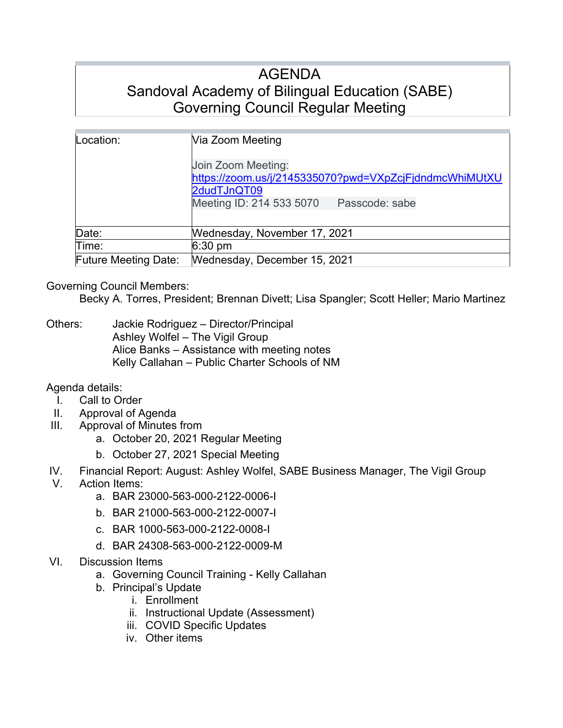# AGENDA Sandoval Academy of Bilingual Education (SABE) Governing Council Regular Meeting

| Location:                   | Via Zoom Meeting<br>Join Zoom Meeting:<br>https://zoom.us/j/2145335070?pwd=VXpZcjFjdndmcWhiMUtXU<br>2dudTJnQT09<br>Meeting ID: 214 533 5070<br>Passcode: sabe |
|-----------------------------|---------------------------------------------------------------------------------------------------------------------------------------------------------------|
| Date:                       | Wednesday, November 17, 2021                                                                                                                                  |
| Time:                       | $6:30 \text{ pm}$                                                                                                                                             |
| <b>Future Meeting Date:</b> | Wednesday, December 15, 2021                                                                                                                                  |

# Governing Council Members:

Becky A. Torres, President; Brennan Divett; Lisa Spangler; Scott Heller; Mario Martinez

Others: Jackie Rodriguez – Director/Principal Ashley Wolfel – The Vigil Group Alice Banks – Assistance with meeting notes Kelly Callahan – Public Charter Schools of NM

# Agenda details:

- I. Call to Order
- II. Approval of Agenda
- III. Approval of Minutes from
	- a. October 20, 2021 Regular Meeting
	- b. October 27, 2021 Special Meeting
- IV. Financial Report: August: Ashley Wolfel, SABE Business Manager, The Vigil Group
- V. Action Items:
	- a. BAR 23000-563-000-2122-0006-I
	- b. BAR 21000-563-000-2122-0007-I
	- c. BAR 1000-563-000-2122-0008-I
	- d. BAR 24308-563-000-2122-0009-M
- VI. Discussion Items
	- a. Governing Council Training Kelly Callahan
	- b. Principal's Update
		- i. Enrollment
			- ii. Instructional Update (Assessment)
		- iii. COVID Specific Updates
		- iv. Other items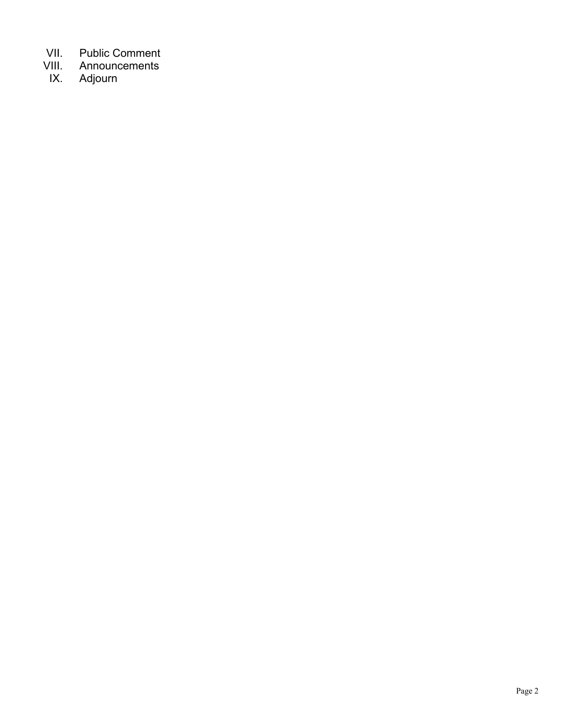- VII. Public Comment<br>VIII. Announcements
- VIII. Announcements<br>IX. Adjourn
- Adjourn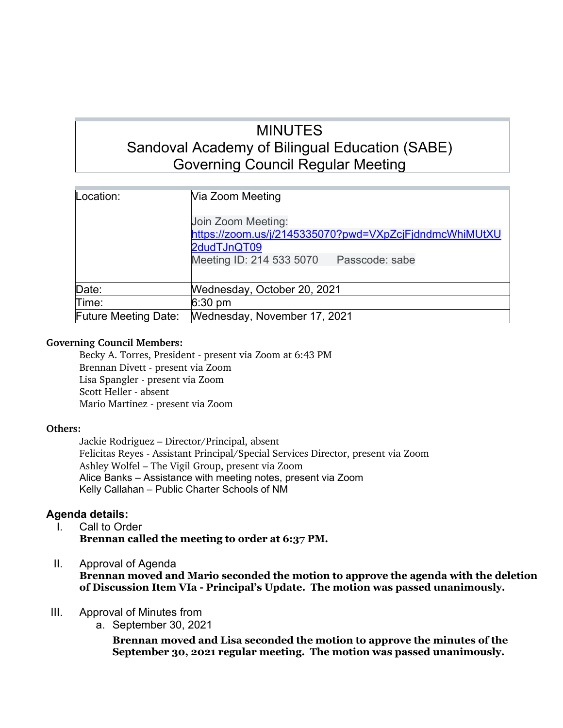# MINUTES Sandoval Academy of Bilingual Education (SABE) Governing Council Regular Meeting

| Location:                   | Via Zoom Meeting                                                                                                                          |
|-----------------------------|-------------------------------------------------------------------------------------------------------------------------------------------|
|                             | Join Zoom Meeting:<br>https://zoom.us/j/2145335070?pwd=VXpZcjFjdndmcWhiMUtXU<br>2dudTJnQT09<br>Meeting ID: 214 533 5070<br>Passcode: sabe |
| Date:                       | Wednesday, October 20, 2021                                                                                                               |
| Time:                       | $6:30 \text{ pm}$                                                                                                                         |
| <b>Future Meeting Date:</b> | Wednesday, November 17, 2021                                                                                                              |

# **Governing Council Members:**

Becky A. Torres, President - present via Zoom at 6:43 PM Brennan Divett - present via Zoom Lisa Spangler - present via Zoom Scott Heller - absent Mario Martinez - present via Zoom

# **Others:**

Jackie Rodriguez – Director/Principal, absent Felicitas Reyes - Assistant Principal/Special Services Director, present via Zoom Ashley Wolfel – The Vigil Group, present via Zoom Alice Banks – Assistance with meeting notes, present via Zoom Kelly Callahan – Public Charter Schools of NM

# **Agenda details:**

- I. Call to Order **Brennan called the meeting to order at 6:37 PM.**
- II. Approval of Agenda

**Brennan moved and Mario seconded the motion to approve the agenda with the deletion of Discussion Item VIa - Principal's Update. The motion was passed unanimously.**

- III. Approval of Minutes from
	- a. September 30, 2021

**Brennan moved and Lisa seconded the motion to approve the minutes of the September 30, 2021 regular meeting. The motion was passed unanimously.**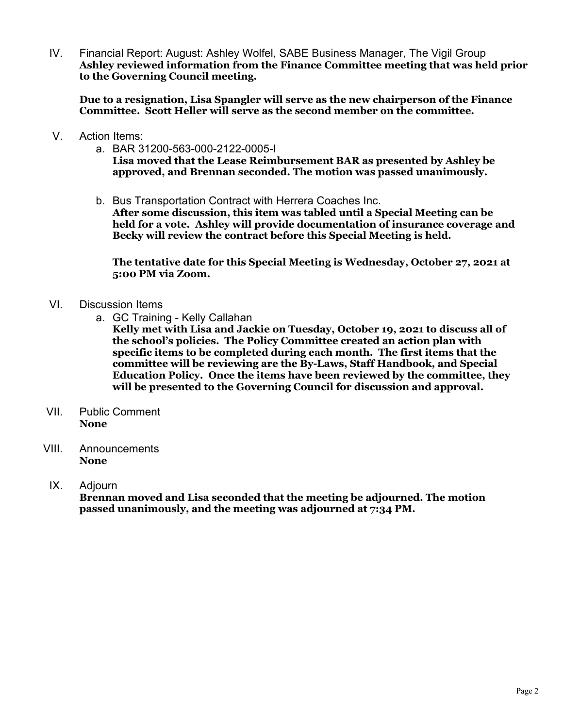IV. Financial Report: August: Ashley Wolfel, SABE Business Manager, The Vigil Group **Ashley reviewed information from the Finance Committee meeting that was held prior to the Governing Council meeting.** 

**Due to a resignation, Lisa Spangler will serve as the new chairperson of the Finance Committee. Scott Heller will serve as the second member on the committee.**

- V. Action Items:
	- a. BAR 31200-563-000-2122-0005-I **Lisa moved that the Lease Reimbursement BAR as presented by Ashley be approved, and Brennan seconded. The motion was passed unanimously.**
	- b. Bus Transportation Contract with Herrera Coaches Inc. **After some discussion, this item was tabled until a Special Meeting can be held for a vote. Ashley will provide documentation of insurance coverage and Becky will review the contract before this Special Meeting is held.**

**The tentative date for this Special Meeting is Wednesday, October 27, 2021 at 5:00 PM via Zoom.**

- VI. Discussion Items
	- a. GC Training Kelly Callahan

**Kelly met with Lisa and Jackie on Tuesday, October 19, 2021 to discuss all of the school's policies. The Policy Committee created an action plan with specific items to be completed during each month. The first items that the committee will be reviewing are the By-Laws, Staff Handbook, and Special Education Policy. Once the items have been reviewed by the committee, they will be presented to the Governing Council for discussion and approval.**

- VII. Public Comment **None**
- VIII. Announcements **None**
- IX. Adjourn

**Brennan moved and Lisa seconded that the meeting be adjourned. The motion passed unanimously, and the meeting was adjourned at 7:34 PM.**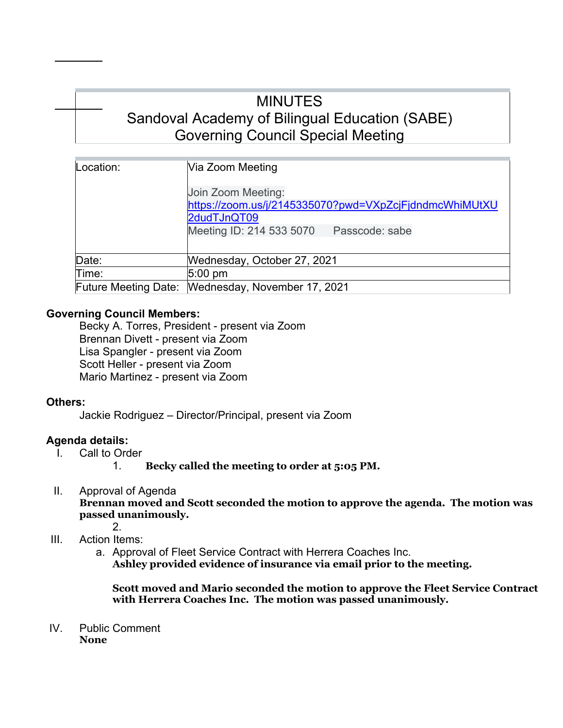# MINUTES Sandoval Academy of Bilingual Education (SABE) Governing Council Special Meeting

| Location:                   | Via Zoom Meeting                                       |
|-----------------------------|--------------------------------------------------------|
|                             |                                                        |
|                             | Join Zoom Meeting:                                     |
|                             | https://zoom.us/j/2145335070?pwd=VXpZcjFjdndmcWhiMUtXU |
|                             | 2dudTJnQT09                                            |
|                             | Meeting ID: 214 533 5070<br>Passcode: sabe             |
|                             |                                                        |
| Date:                       | Wednesday, October 27, 2021                            |
| Time:                       | $5:00 \text{ pm}$                                      |
| <b>Future Meeting Date:</b> | Wednesday, November 17, 2021                           |

# **Governing Council Members:**

Becky A. Torres, President - present via Zoom Brennan Divett - present via Zoom Lisa Spangler - present via Zoom Scott Heller - present via Zoom Mario Martinez - present via Zoom

# **Others:**

Jackie Rodriguez – Director/Principal, present via Zoom

# **Agenda details:**

- I. Call to Order
	- 1. **Becky called the meeting to order at 5:05 PM.**
- II. Approval of Agenda **Brennan moved and Scott seconded the motion to approve the agenda. The motion was passed unanimously.** 2.

# III. Action Items:

a. Approval of Fleet Service Contract with Herrera Coaches Inc. **Ashley provided evidence of insurance via email prior to the meeting.**

**Scott moved and Mario seconded the motion to approve the Fleet Service Contract with Herrera Coaches Inc. The motion was passed unanimously.**

IV. Public Comment **None**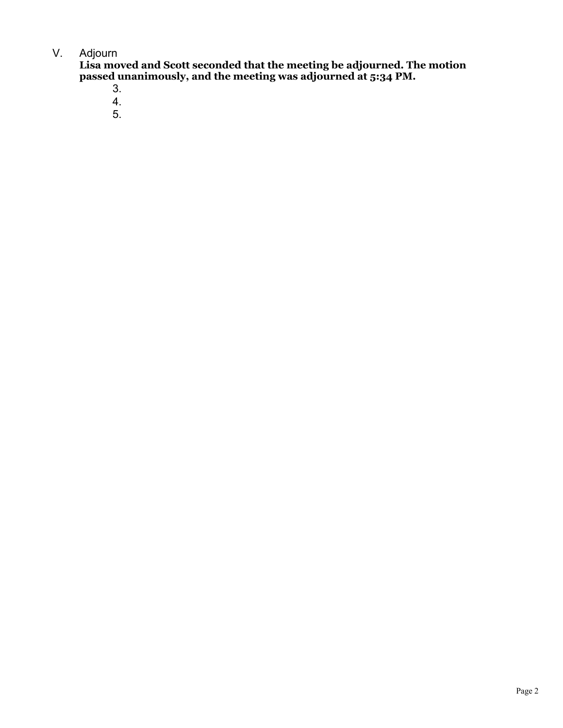# V. Adjourn

**Lisa moved and Scott seconded that the meeting be adjourned. The motion passed unanimously, and the meeting was adjourned at 5:34 PM.**

- 3.
- 4.
- 5.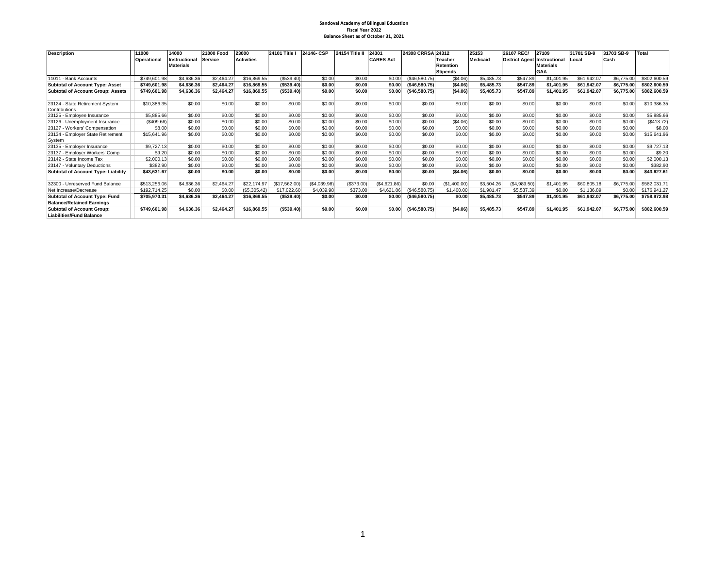#### **Sandoval Academy of Bilingual Education Fiscal Year 2022 Balance Sheet as of October 31, 2021**

| <b>Description</b>                       | 11000        | 14000            | 21000 Food     | 23000             | 24101 Title I | 24146-CSP    | <b>24154 Title II</b> | 24301            | 24308 CRRSA 24312 |                  | 25153           | 26107 REC/                          | 27109            | 31701 SB-9  | 31703 SB-9 | <b>Total</b> |
|------------------------------------------|--------------|------------------|----------------|-------------------|---------------|--------------|-----------------------|------------------|-------------------|------------------|-----------------|-------------------------------------|------------------|-------------|------------|--------------|
|                                          | Operational  | Instructional    | <b>Service</b> | <b>Activities</b> |               |              |                       | <b>CARES Act</b> |                   | Teacher          | <b>Medicaid</b> | <b>District Agent Instructional</b> |                  | Local       | Cash       |              |
|                                          |              | <b>Materials</b> |                |                   |               |              |                       |                  |                   | <b>Retention</b> |                 |                                     | <b>Materials</b> |             |            |              |
|                                          |              |                  |                |                   |               |              |                       |                  |                   | <b>Stipends</b>  |                 |                                     | <b>GAA</b>       |             |            |              |
| 11011 - Bank Accounts                    | \$749,601.98 | \$4,636.36       | \$2,464.27     | \$16,869.55       | (\$539.40)    | \$0.00       | \$0.00                | \$0.00           | (\$46,580.75)     | (\$4.06)         | \$5,485.73      | \$547.89                            | \$1,401.95       | \$61,942.07 | \$6,775,00 | \$802,600.59 |
| <b>Subtotal of Account Type: Asset</b>   | \$749.601.98 | \$4,636,36       | \$2.464.27     | \$16,869.55       | (\$539.40)    | \$0.00       | \$0.00                | \$0.00           | (\$46,580.75)     | (S4.06)          | \$5,485.73      | \$547.89                            | \$1.401.95       | \$61,942.07 | \$6,775.00 | \$802,600.59 |
| <b>Subtotal of Account Group: Assets</b> | \$749,601.98 | \$4,636.36       | \$2,464.27     | \$16,869.55       | ( \$539.40)   | \$0.00       | \$0.00                | \$0.00           | (\$46,580.75)     | (S4.06)          | \$5,485.73      | \$547.89                            | \$1,401.95       | \$61,942.07 | \$6,775.00 | \$802,600.59 |
|                                          |              |                  |                |                   |               |              |                       |                  |                   |                  |                 |                                     |                  |             |            |              |
| 23124 - State Retirement System          | \$10,386.35  | \$0.00           | \$0.00         | \$0.00            | \$0.00        | \$0.00       | \$0.00                | \$0.00           | \$0.00            | \$0.00           | \$0.00          | \$0.00                              | \$0.00           | \$0.00      | \$0.00     | \$10,386.35  |
| Contributions                            |              |                  |                |                   |               |              |                       |                  |                   |                  |                 |                                     |                  |             |            |              |
| 23125 - Employee Insurance               | \$5,885.66   | \$0.00           | \$0.00         | \$0.00            | \$0.00        | \$0.00       | \$0.00                | \$0.00           | \$0.00            | \$0.00           | \$0.00          | \$0.00                              | \$0.00           | \$0.00      | \$0.00     | \$5,885.66   |
| 23126 - Unemployment Insurance           | (\$409.66)   | \$0.00           | \$0.00         | \$0.00            | \$0.00        | \$0.00       | \$0.00                | \$0.00           | \$0.00            | (\$4.06)         | \$0.00          | \$0.00                              | \$0.00           | \$0.00      | \$0.00     | (\$413.72)   |
| 23127 - Workers' Compensation            | \$8.00       | \$0.00           | \$0.00         | \$0.00            | \$0.00        | \$0.00       | \$0.00                | \$0.00           | \$0.00            | \$0.00           | \$0.00          | \$0.00                              | \$0.00           | \$0.00      | \$0.00     | \$8.00       |
| 23134 - Employer State Retirement        | \$15,641.96  | \$0.00           | \$0.00         | \$0.00            | \$0.00        | \$0.00       | \$0.00                | \$0.00           | \$0.00            | \$0.00           | \$0.00          | \$0.00                              | \$0.00           | \$0.00      | \$0.00     | \$15,641.96  |
| System                                   |              |                  |                |                   |               |              |                       |                  |                   |                  |                 |                                     |                  |             |            |              |
| 23135 - Employer Insurance               | \$9,727.13   | \$0.00           | \$0.00         | \$0.00            | \$0.00        | \$0.00       | \$0.00                | \$0.00           | \$0.00            | \$0.00           | \$0.00          | \$0.00                              | \$0.00           | \$0.00      | \$0.00     | \$9,727.13   |
| 23137 - Employer Workers' Comp           | \$9.20       | \$0.00           | \$0.00         | \$0.00            | \$0.00        | \$0.00       | \$0.00                | \$0.00           | \$0.00            | \$0.00           | \$0.00          | \$0.00                              | \$0.00           | \$0.00      | \$0.00     | \$9.20       |
| 23142 - State Income Tax                 | \$2,000.13   | \$0.00           | \$0.00         | \$0.00            | \$0.00        | \$0.00       | \$0.00                | \$0.00           | \$0.00            | \$0.00           | \$0.00          | \$0.00                              | \$0.00           | \$0.00      | \$0.00     | \$2,000.13   |
| 23147 - Voluntary Deductions             | \$382.90     | \$0.00           | \$0.00         | \$0.00            | \$0.00        | \$0.00       | \$0.00                | \$0.00           | \$0.00            | \$0.00           | \$0.00          | \$0.00                              | \$0.00           | \$0.00      | \$0.00     | \$382.90     |
| Subtotal of Account Type: Liability      | \$43,631.67  | \$0.00           | \$0.00         | \$0.00            | \$0.00        | \$0.00       | \$0.00                | \$0.00           | \$0.00            | (S4.06)          | \$0.00          | \$0.00                              | \$0.00           | \$0.00      | \$0.00     | \$43,627.61  |
|                                          |              |                  |                |                   |               |              |                       |                  |                   |                  |                 |                                     |                  |             |            |              |
| 32300 - Unreserved Fund Balance          | \$513,256.06 | \$4,636.36       | \$2,464.27     | \$22,174.97       | (\$17,562.00) | (\$4,039.98) | (\$373.00)            | (\$4,621.86)     | \$0.00            | (\$1,400.00)     | \$3,504.26      | (\$4,989.50)                        | \$1,401.95       | \$60,805.18 | \$6,775.00 | \$582.031.7  |
| Net Increase/Decrease                    | \$192.714.25 | \$0.00           | \$0.00         | (\$5,305.42)      | \$17,022.60   | \$4,039.98   | \$373.00              | \$4,621.86       | (S46.580.75)      | \$1,400.00       | \$1.981.47      | \$5,537.39                          | \$0.00           | \$1.136.89  | \$0.00     | \$176,941.27 |
| Subtotal of Account Type: Fund           | \$705.970.31 | \$4,636.36       | \$2,464.27     | \$16,869.55       | (\$539.40)    | \$0.00       | \$0.00                | \$0.00           | (\$46,580.75)     | \$0.00           | \$5,485.73      | \$547.89                            | \$1,401.95       | \$61,942.07 | \$6,775.00 | \$758,972.98 |
| <b>Balance/Retained Earnings</b>         |              |                  |                |                   |               |              |                       |                  |                   |                  |                 |                                     |                  |             |            |              |
| <b>Subtotal of Account Group:</b>        | \$749,601.98 | \$4,636.36       | \$2,464.27     | \$16,869.55       | ( \$539.40)   | \$0.00       | \$0.00                | \$0.00           | (\$46,580.75)     | (S4.06)          | \$5,485.73      | \$547.89                            | \$1.401.95       | \$61,942.07 | \$6,775.00 | \$802,600.59 |
| <b>Liabilities/Fund Balance</b>          |              |                  |                |                   |               |              |                       |                  |                   |                  |                 |                                     |                  |             |            |              |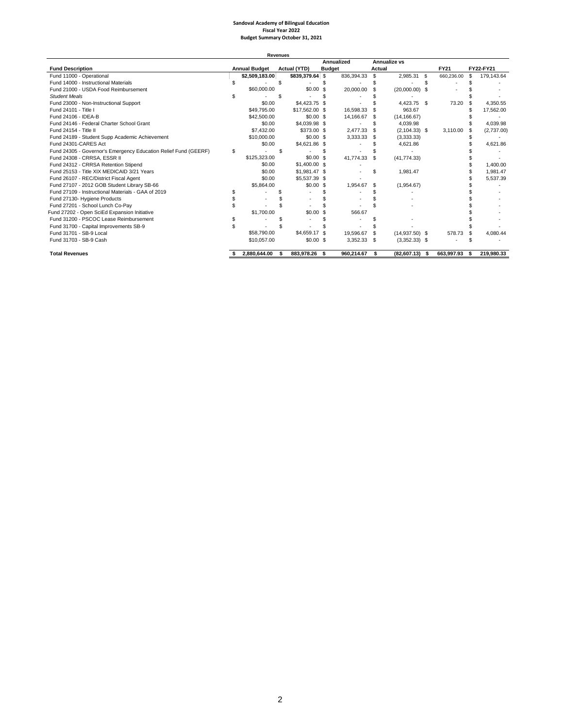# **Sandoval Academy of Bilingual Education Fiscal Year 2022 Budget Summary October 31, 2021**

|                                                                 |   | <b>Revenues</b>      |                 |     |               |        |                  |    |             |     |            |
|-----------------------------------------------------------------|---|----------------------|-----------------|-----|---------------|--------|------------------|----|-------------|-----|------------|
|                                                                 |   |                      |                 |     | Annualized    |        | Annualize vs     |    |             |     |            |
| <b>Fund Description</b>                                         |   | <b>Annual Budget</b> | Actual (YTD)    |     | <b>Budget</b> | Actual |                  |    | <b>FY21</b> |     | FY22-FY21  |
| Fund 11000 - Operational                                        |   | \$2,509,183.00       | \$839,379.64 \$ |     | 836,394.33    | \$     | 2,985.31         | S. | 660,236.00  | £.  | 179,143.64 |
| Fund 14000 - Instructional Materials                            |   |                      | \$              |     |               | \$     |                  |    |             |     |            |
| Fund 21000 - USDA Food Reimbursement                            |   | \$60,000.00          | $$0.00$ \$      |     | 20,000.00     | \$     | $(20,000.00)$ \$ |    |             |     |            |
| <b>Student Meals</b>                                            |   |                      | \$              |     |               |        |                  |    |             |     |            |
| Fund 23000 - Non-Instructional Support                          |   | \$0.00               | \$4,423.75 \$   |     |               |        | 4.423.75 \$      |    | 73.20       |     | 4.350.55   |
| Fund 24101 - Title I                                            |   | \$49,795.00          | \$17,562.00 \$  |     | 16.598.33     |        | 963.67           |    |             |     | 17,562.00  |
| Fund 24106 - IDEA-B                                             |   | \$42,500.00          | $$0.00$ \$      |     | 14,166.67     | \$     | (14, 166.67)     |    |             |     |            |
| Fund 24146 - Federal Charter School Grant                       |   | \$0.00               | \$4,039.98 \$   |     |               | \$     | 4.039.98         |    |             |     | 4,039.98   |
| Fund 24154 - Title II                                           |   | \$7,432.00           | \$373.00 \$     |     | 2.477.33      | \$.    | $(2,104.33)$ \$  |    | 3.110.00    |     | (2,737.00) |
| Fund 24189 - Student Supp Academic Achievement                  |   | \$10,000.00          | $$0.00$ \$      |     | 3,333.33      | \$     | (3,333.33)       |    |             |     |            |
| Fund 24301-CARES Act                                            |   | \$0.00               | \$4,621.86 \$   |     |               |        | 4.621.86         |    |             |     | 4.621.86   |
| Fund 24305 - Governor's Emergency Education Relief Fund (GEERF) | S |                      |                 |     |               |        |                  |    |             |     |            |
| Fund 24308 - CRRSA, ESSR II                                     |   | \$125,323,00         | \$0.00S         |     | 41.774.33     | \$.    | (41, 774.33)     |    |             |     |            |
| Fund 24312 - CRRSA Retention Stipend                            |   | \$0.00               | \$1,400.00 \$   |     |               |        |                  |    |             |     | 1.400.00   |
| Fund 25153 - Title XIX MEDICAID 3/21 Years                      |   | \$0.00               | \$1,981.47 \$   |     |               | \$     | 1,981.47         |    |             |     | 1,981.47   |
| Fund 26107 - REC/District Fiscal Agent                          |   | \$0.00               | \$5,537,39 \$   |     |               |        |                  |    |             |     | 5.537.39   |
| Fund 27107 - 2012 GOB Student Library SB-66                     |   | \$5,864.00           | $$0.00$ \$      |     | 1.954.67      | \$     | (1,954.67)       |    |             |     |            |
| Fund 27109 - Instructional Materials - GAA of 2019              |   |                      |                 |     |               |        |                  |    |             |     |            |
| Fund 27130- Hygiene Products                                    |   |                      |                 |     |               |        |                  |    |             |     |            |
| Fund 27201 - School Lunch Co-Pay                                |   |                      |                 |     |               |        |                  |    |             |     |            |
| Fund 27202 - Open SciEd Expansion Initiative                    |   | \$1,700.00           | \$0.00S         |     | 566.67        |        |                  |    |             |     |            |
| Fund 31200 - PSCOC Lease Reimbursement                          |   |                      |                 |     |               |        |                  |    |             |     |            |
| Fund 31700 - Capital Improvements SB-9                          |   |                      |                 |     |               |        |                  |    |             |     |            |
| Fund 31701 - SB-9 Local                                         |   | \$58,790.00          | \$4,659.17 \$   |     | 19.596.67     | \$.    | $(14,937.50)$ \$ |    | 578.73      | \$. | 4.080.44   |
| Fund 31703 - SB-9 Cash                                          |   | \$10,057.00          | \$0.00S         |     | 3,352.33      | - \$   | $(3,352.33)$ \$  |    |             |     |            |
| <b>Total Revenues</b>                                           |   | 2.880.644.00         | 883.978.26      | - S | 960.214.67    | \$     | $(82,607.13)$ \$ |    | 663.997.93  | S   | 219.980.33 |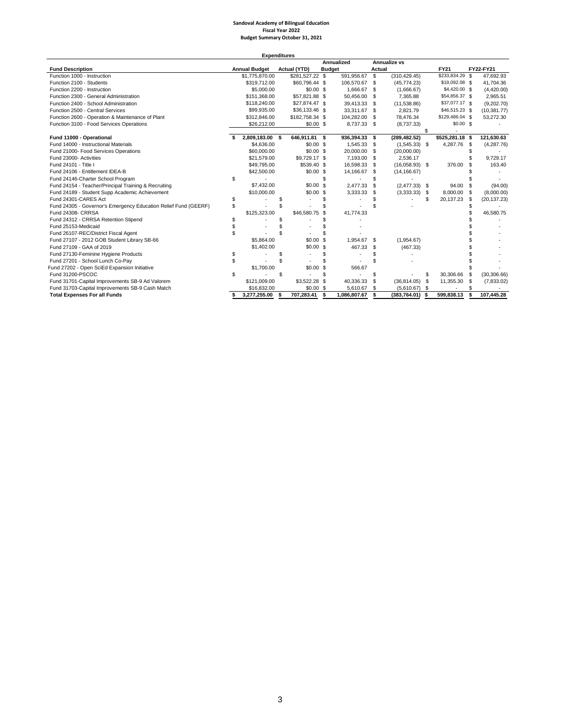#### **Sandoval Academy of Bilingual Education Fiscal Year 2022 Budget Summary October 31, 2021**

|                                                                 |    | <b>Expenditures</b>  |     |                     |      |               |        |                     |      |                 |      |              |
|-----------------------------------------------------------------|----|----------------------|-----|---------------------|------|---------------|--------|---------------------|------|-----------------|------|--------------|
|                                                                 |    |                      |     |                     |      | Annualized    |        | <b>Annualize vs</b> |      |                 |      |              |
| <b>Fund Description</b>                                         |    | <b>Annual Budget</b> |     | <b>Actual (YTD)</b> |      | <b>Budget</b> | Actual |                     |      | <b>FY21</b>     |      | FY22-FY21    |
| Function 1000 - Instruction                                     |    | \$1,775,870.00       |     | \$281,527.22 \$     |      | 591,956.67    | \$     | (310, 429.45)       |      | \$233,834.29 \$ |      | 47.692.93    |
| Function 2100 - Students                                        |    | \$319,712.00         |     | \$60,796.44 \$      |      | 106,570.67    | -S     | (45, 774.23)        |      | \$19,092.08 \$  |      | 41,704.36    |
| Function 2200 - Instruction                                     |    | \$5,000.00           |     | $$0.00$$ \$         |      | 1,666.67      | \$     | (1,666.67)          |      | \$4,420.00 \$   |      | (4,420.00)   |
| Function 2300 - General Administration                          |    | \$151,368.00         |     | \$57,821.88 \$      |      | 50.456.00     | \$     | 7.365.88            |      | \$54,856.37 \$  |      | 2.965.51     |
| Function 2400 - School Administration                           |    | \$118,240.00         |     | \$27,874.47 \$      |      | 39.413.33     | \$     | (11,538.86)         |      | \$37,077.17 \$  |      | (9,202.70)   |
| Function 2500 - Central Services                                |    | \$99,935.00          |     | \$36,133.46 \$      |      | 33,311.67 \$  |        | 2,821.79            |      | \$46,515.23 \$  |      | (10, 381.77) |
| Function 2600 - Operation & Maintenance of Plant                |    | \$312,846.00         |     | \$182,758.34 \$     |      | 104,282.00    | \$     | 78,476.34           |      | \$129,486.04 \$ |      | 53,272.30    |
| Function 3100 - Food Services Operations                        |    | \$26,212.00          |     | $$0.00$ \$          |      | 8,737.33 \$   |        | (8,737.33)          |      | \$0.00S         |      |              |
|                                                                 |    |                      |     |                     |      |               |        |                     |      |                 |      |              |
| Fund 11000 - Operational                                        |    | 2,809,183.00 \$      |     | 646,911.81 \$       |      | 936,394.33    | - \$   | (289, 482.52)       |      | \$525,281.18 \$ |      | 121,630.63   |
| Fund 14000 - Instructional Materials                            |    | \$4,636.00           |     | \$0.00S             |      | 1,545.33 \$   |        | $(1,545.33)$ \$     |      | 4,287.76        | - \$ | (4,287.76)   |
| Fund 21000- Food Services Operations                            |    | \$60,000.00          |     | \$0.00S             |      | 20,000.00     | -S     | (20,000.00)         |      |                 | S    |              |
| Fund 23000- Activities                                          |    | \$21,579.00          |     | \$9,729.17 \$       |      | 7,193.00      | -S     | 2.536.17            |      |                 |      | 9,729.17     |
| Fund 24101 - Title I                                            |    | \$49,795.00          |     | \$539.40 \$         |      | 16,598.33     | \$     | $(16,058.93)$ \$    |      | 376.00          | \$.  | 163.40       |
| Fund 24106 - Entitlement IDEA-B                                 |    | \$42,500.00          |     | $$0.00$$ \$         |      | 14,166.67     | \$     | (14, 166.67)        |      |                 |      |              |
| Fund 24146-Charter School Program                               | \$ |                      |     |                     | S    |               |        |                     |      |                 |      |              |
| Fund 24154 - Teacher/Principal Training & Recruiting            |    | \$7,432.00           |     | \$0.00S             |      | 2,477.33      | \$     | $(2,477.33)$ \$     |      | 94.00           | \$   | (94.00)      |
| Fund 24189 - Student Supp Academic Achievement                  |    | \$10,000.00          |     | \$0.00S             |      | 3,333.33      | \$     | (3,333,33)          | - \$ | 8,000.00        | - \$ | (8,000.00)   |
| Fund 24301-CARES Act                                            | \$ |                      | \$  |                     |      |               |        |                     | \$   | 20,137.23       | \$   | (20, 137.23) |
| Fund 24305 - Governor's Emergency Education Relief Fund (GEERF) | \$ |                      | \$  |                     |      |               |        |                     |      |                 |      |              |
| Fund 24308- CRRSA                                               |    | \$125,323.00         |     | \$46,580.75 \$      |      | 41,774.33     |        |                     |      |                 |      | 46,580.75    |
| Fund 24312 - CRRSA Retention Stipend                            | S  |                      | £.  |                     |      |               |        |                     |      |                 |      |              |
| Fund 25153-Medicaid                                             | \$ |                      |     |                     |      |               |        |                     |      |                 |      |              |
| Fund 26107-REC/District Fiscal Agent                            | \$ |                      | \$  |                     |      |               |        |                     |      |                 |      |              |
| Fund 27107 - 2012 GOB Student Library SB-66                     |    | \$5,864.00           |     | $$0.00$ \$          |      | 1.954.67      | - \$   | (1,954.67)          |      |                 |      |              |
| Fund 27109 - GAA of 2019                                        |    | \$1,402.00           |     | \$0.00\$            |      | 467.33        | \$     | (467.33)            |      |                 |      |              |
| Fund 27130-Feminine Hygiene Products                            | S  |                      | S   |                     | \$   |               |        |                     |      |                 |      |              |
| Fund 27201 - School Lunch Co-Pay                                | \$ |                      | \$  |                     |      |               |        |                     |      |                 |      |              |
| Fund 27202 - Open SciEd Expansion Initiative                    |    | \$1,700.00           |     | \$0.00              | -S   | 566.67        |        |                     |      |                 |      |              |
| Fund 31200-PSCOC                                                | \$ |                      | \$  |                     | S    |               |        |                     | \$   | 30,306.66       | \$   | (30, 306.66) |
| Fund 31701-Capital Improvements SB-9 Ad Valorem                 |    | \$121,009.00         |     | \$3,522.28 \$       |      | 40,336.33     | S      | (36, 814.05)        | \$   | 11,355.30       | \$   | (7,833.02)   |
| Fund 31703-Capital Improvements SB-9 Cash Match                 |    | \$16,832.00          |     | $$0.00$ \$          |      | 5,610.67      | \$     | (5,610.67)          | - \$ |                 | \$   |              |
| <b>Total Expenses For all Funds</b>                             | S  | 3.277.255.00         | - 5 | 707,283.41          | - \$ | 1.086.807.67  | Ŝ.     | (383.764.01)        | - \$ | 599.838.13      | s    | 107.445.28   |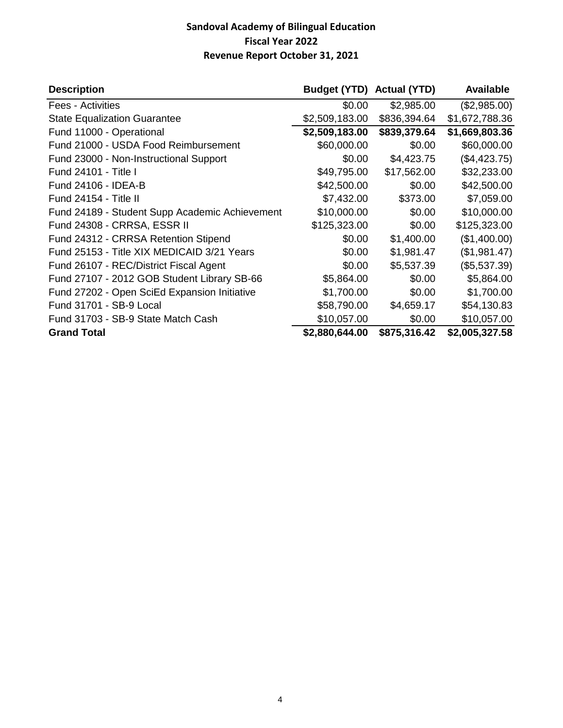# **Sandoval Academy of Bilingual Education Fiscal Year 2022 Revenue Report October 31, 2021**

| <b>Description</b>                             | Budget (YTD) Actual (YTD) |              | <b>Available</b> |
|------------------------------------------------|---------------------------|--------------|------------------|
| Fees - Activities                              | \$0.00                    | \$2,985.00   | (\$2,985.00)     |
| <b>State Equalization Guarantee</b>            | \$2,509,183.00            | \$836,394.64 | \$1,672,788.36   |
| Fund 11000 - Operational                       | \$2,509,183.00            | \$839,379.64 | \$1,669,803.36   |
| Fund 21000 - USDA Food Reimbursement           | \$60,000.00               | \$0.00       | \$60,000.00      |
| Fund 23000 - Non-Instructional Support         | \$0.00                    | \$4,423.75   | (\$4,423.75)     |
| Fund 24101 - Title I                           | \$49,795.00               | \$17,562.00  | \$32,233.00      |
| Fund 24106 - IDEA-B                            | \$42,500.00               | \$0.00       | \$42,500.00      |
| Fund 24154 - Title II                          | \$7,432.00                | \$373.00     | \$7,059.00       |
| Fund 24189 - Student Supp Academic Achievement | \$10,000.00               | \$0.00       | \$10,000.00      |
| Fund 24308 - CRRSA, ESSR II                    | \$125,323.00              | \$0.00       | \$125,323.00     |
| Fund 24312 - CRRSA Retention Stipend           | \$0.00                    | \$1,400.00   | (\$1,400.00)     |
| Fund 25153 - Title XIX MEDICAID 3/21 Years     | \$0.00                    | \$1,981.47   | (\$1,981.47)     |
| Fund 26107 - REC/District Fiscal Agent         | \$0.00                    | \$5,537.39   | (\$5,537.39)     |
| Fund 27107 - 2012 GOB Student Library SB-66    | \$5,864.00                | \$0.00       | \$5,864.00       |
| Fund 27202 - Open SciEd Expansion Initiative   | \$1,700.00                | \$0.00       | \$1,700.00       |
| Fund 31701 - SB-9 Local                        | \$58,790.00               | \$4,659.17   | \$54,130.83      |
| Fund 31703 - SB-9 State Match Cash             | \$10,057.00               | \$0.00       | \$10,057.00      |
| <b>Grand Total</b>                             | \$2,880,644.00            | \$875,316.42 | \$2,005,327.58   |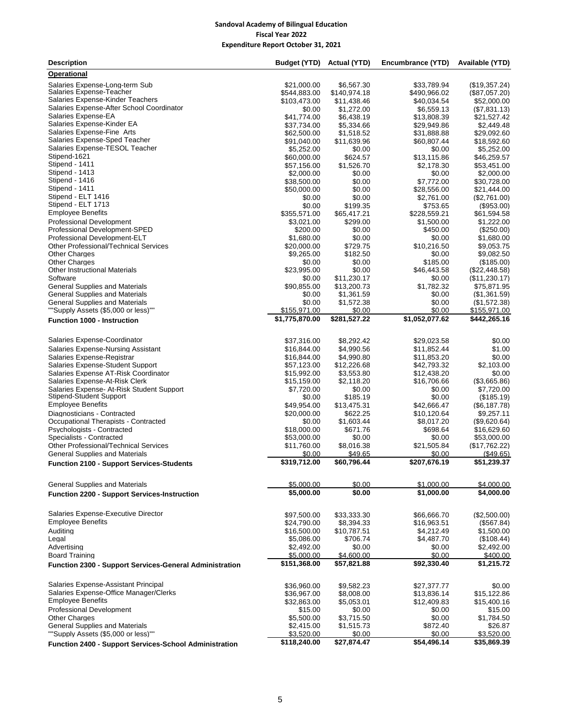## **Sandoval Academy of Bilingual Education Fiscal Year 2022 Expenditure Report October 31, 2021**

| <b>Description</b>                                             | Budget (YTD)                   | Actual (YTD)              | Encumbrance (YTD)          | Available (YTD)              |
|----------------------------------------------------------------|--------------------------------|---------------------------|----------------------------|------------------------------|
| <b>Operational</b>                                             |                                |                           |                            |                              |
| Salaries Expense-Long-term Sub                                 | \$21,000.00                    | \$6.567.30                | \$33.789.94                | (\$19,357.24)                |
| Salaries Expense-Teacher                                       | \$544,883.00                   | \$140,974.18              | \$490,966.02               | (\$87,057.20)                |
| Salaries Expense-Kinder Teachers                               | \$103,473.00                   | \$11,438.46               | \$40,034.54                | \$52,000.00                  |
| Salaries Expense-After School Coordinator                      | \$0.00                         | \$1.272.00                | \$6,559.13                 | (\$7,831.13)                 |
| Salaries Expense-EA<br>Salaries Expense-Kinder EA              | \$41,774.00                    | \$6,438.19                | \$13,808.39                | \$21,527.42                  |
| Salaries Expense-Fine Arts                                     | \$37,734.00                    | \$5,334.66                | \$29,949.86                | \$2,449.48                   |
| Salaries Expense-Sped Teacher                                  | \$62,500.00<br>\$91,040.00     | \$1,518.52<br>\$11,639.96 | \$31,888.88<br>\$60,807.44 | \$29,092.60<br>\$18,592.60   |
| Salaries Expense-TESOL Teacher                                 | \$5,252.00                     | \$0.00                    | \$0.00                     | \$5,252.00                   |
| Stipend-1621                                                   | \$60,000.00                    | \$624.57                  | \$13,115.86                | \$46,259.57                  |
| Stipend - 1411                                                 | \$57,156.00                    | \$1,526.70                | \$2,178.30                 | \$53,451.00                  |
| Stipend - 1413                                                 | \$2,000.00                     | \$0.00                    | \$0.00                     | \$2,000.00                   |
| Stipend - 1416                                                 | \$38,500.00                    | \$0.00                    | \$7.772.00                 | \$30.728.00                  |
| Stipend - 1411                                                 | \$50,000.00                    | \$0.00                    | \$28,556.00                | \$21,444.00                  |
| Stipend - ELT 1416                                             | \$0.00                         | \$0.00                    | \$2,761.00                 | (\$2,761.00)                 |
| Stipend - ELT 1713                                             | \$0.00                         | \$199.35                  | \$753.65                   | (\$953.00)                   |
| <b>Employee Benefits</b><br><b>Professional Development</b>    | \$355,571.00<br>\$3,021.00     | \$65,417.21<br>\$299.00   | \$228,559.21<br>\$1,500.00 | \$61,594.58                  |
| Professional Development-SPED                                  | \$200.00                       | \$0.00                    | \$450.00                   | \$1,222.00<br>(\$250.00)     |
| Professional Development-ELT                                   | \$1,680.00                     | \$0.00                    | \$0.00                     | \$1,680.00                   |
| <b>Other Professional/Technical Services</b>                   | \$20,000.00                    | \$729.75                  | \$10,216.50                | \$9,053.75                   |
| <b>Other Charges</b>                                           | \$9,265.00                     | \$182.50                  | \$0.00                     | \$9,082.50                   |
| <b>Other Charges</b>                                           | \$0.00                         | \$0.00                    | \$185.00                   | (\$185.00)                   |
| <b>Other Instructional Materials</b>                           | \$23,995.00                    | \$0.00                    | \$46,443.58                | $(\$22,448.58)$              |
| Software                                                       | \$0.00                         | \$11,230.17               | \$0.00                     | (\$11,230.17)                |
| <b>General Supplies and Materials</b>                          | \$90,855.00                    | \$13,200.73               | \$1,782.32                 | \$75,871.95                  |
| <b>General Supplies and Materials</b>                          | \$0.00                         | \$1,361.59                | \$0.00                     | (\$1,361.59)                 |
| <b>General Supplies and Materials</b>                          | \$0.00                         | \$1,572.38                | \$0.00                     | (\$1,572.38)                 |
| ""Supply Assets (\$5,000 or less)""                            | \$155,971.00<br>\$1,775,870.00 | \$0.00<br>\$281,527.22    | \$0.00<br>\$1,052,077.62   | \$155,971.00<br>\$442,265.16 |
| <b>Function 1000 - Instruction</b>                             |                                |                           |                            |                              |
| Salaries Expense-Coordinator                                   |                                | \$8,292.42                |                            |                              |
| Salaries Expense-Nursing Assistant                             | \$37,316.00<br>\$16,844.00     | \$4,990.56                | \$29,023.58<br>\$11,852.44 | \$0.00<br>\$1.00             |
| Salaries Expense-Registrar                                     | \$16,844.00                    | \$4,990.80                | \$11,853.20                | \$0.00                       |
| Salaries Expense-Student Support                               | \$57,123.00                    | \$12,226.68               | \$42,793.32                | \$2,103.00                   |
| Salaries Expense AT-Risk Coordinator                           | \$15,992.00                    | \$3,553.80                | \$12,438.20                | \$0.00                       |
| Salaries Expense-At-Risk Clerk                                 | \$15,159.00                    | \$2,118.20                | \$16,706.66                | (\$3,665.86)                 |
| Salaries Expense- At-Risk Student Support                      | \$7,720.00                     | \$0.00                    | \$0.00                     | \$7,720.00                   |
| Stipend-Student Support                                        | \$0.00                         | \$185.19                  | \$0.00                     | (\$185.19)                   |
| <b>Employee Benefits</b>                                       | \$49,954.00                    | \$13,475.31               | \$42,666.47                | (\$6,187.78)                 |
| Diagnosticians - Contracted                                    | \$20,000.00                    | \$622.25                  | \$10,120.64                | \$9,257.11                   |
| Occupational Therapists - Contracted                           | \$0.00                         | \$1,603.44                | \$8,017.20<br>\$698.64     | (\$9,620.64)                 |
| Psychologists - Contracted<br>Specialists - Contracted         | \$18,000.00<br>\$53,000.00     | \$671.76<br>\$0.00        | \$0.00                     | \$16,629.60<br>\$53,000.00   |
| <b>Other Professional/Technical Services</b>                   | \$11,760.00                    | \$8,016.38                | \$21,505.84                | (\$17,762.22)                |
| <b>General Supplies and Materials</b>                          | \$0.00                         | \$49.65                   | \$0.00                     | (\$49.65)                    |
| <b>Function 2100 - Support Services-Students</b>               | \$319,712.00                   | \$60,796.44               | \$207,676.19               | \$51,239.37                  |
|                                                                |                                |                           |                            |                              |
| <b>General Supplies and Materials</b>                          | \$5,000.00                     | \$0.00                    | \$1,000.00                 | \$4,000.00                   |
| <b>Function 2200 - Support Services-Instruction</b>            | \$5,000.00                     | \$0.00                    | \$1,000.00                 | \$4,000.00                   |
|                                                                |                                |                           |                            |                              |
| Salaries Expense-Executive Director                            | \$97,500.00                    | \$33.333.30               | \$66,666.70                | (\$2,500.00)                 |
| <b>Employee Benefits</b>                                       | \$24,790.00                    | \$8,394.33                | \$16,963.51                | (\$567.84)                   |
| Auditing                                                       | \$16,500.00                    | \$10,787.51<br>\$706.74   | \$4,212.49<br>\$4,487.70   | \$1,500.00<br>(\$108.44)     |
| Legal<br>Advertising                                           | \$5,086.00<br>\$2,492.00       | \$0.00                    | \$0.00                     | \$2,492.00                   |
| <b>Board Training</b>                                          | \$5,000.00                     | \$4,600.00                | \$0.00                     | \$400.00                     |
|                                                                | \$151,368.00                   | \$57,821.88               | \$92,330.40                | \$1,215.72                   |
| <b>Function 2300 - Support Services-General Administration</b> |                                |                           |                            |                              |
| Salaries Expense-Assistant Principal                           | \$36,960.00                    | \$9,582.23                | \$27,377.77                | \$0.00                       |
| Salaries Expense-Office Manager/Clerks                         | \$36,967.00                    | \$8,008.00                | \$13,836.14                | \$15,122.86                  |
| <b>Employee Benefits</b>                                       | \$32,863.00                    | \$5,053.01                | \$12,409.83                | \$15,400.16                  |
| <b>Professional Development</b>                                | \$15.00                        | \$0.00                    | \$0.00                     | \$15.00                      |
| <b>Other Charges</b>                                           | \$5,500.00                     | \$3,715.50                | \$0.00                     | \$1,784.50                   |
| <b>General Supplies and Materials</b>                          | \$2,415.00                     | \$1,515.73                | \$872.40                   | \$26.87                      |
| ""Supply Assets (\$5,000 or less)""                            | \$3,520.00                     | \$0.00                    | \$0.00                     | \$3,520.00                   |
| Function 2400 - Support Services-School Administration         | \$118,240.00                   | \$27,874.47               | \$54,496.14                | \$35,869.39                  |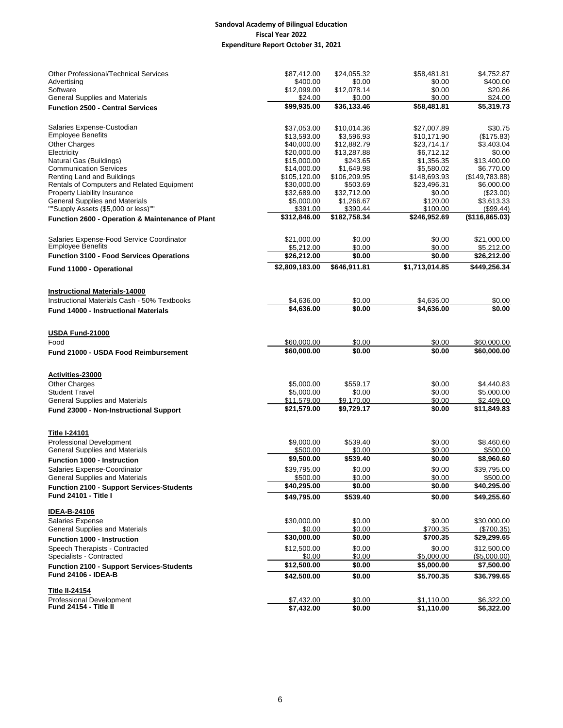## **Sandoval Academy of Bilingual Education Fiscal Year 2022 Expenditure Report October 31, 2021**

| <b>Other Professional/Technical Services</b>                                   | \$87,412.00                | \$24,055.32            | \$58,481.81              | \$4,752.87                 |
|--------------------------------------------------------------------------------|----------------------------|------------------------|--------------------------|----------------------------|
| Advertisina                                                                    | \$400.00                   | \$0.00                 | \$0.00                   | \$400.00                   |
| Software                                                                       | \$12,099.00                | \$12,078.14            | \$0.00                   | \$20.86                    |
| <b>General Supplies and Materials</b>                                          | \$24.00<br>\$99,935.00     | \$0.00<br>\$36,133.46  | \$0.00<br>\$58,481.81    | \$24.00<br>\$5,319.73      |
| <b>Function 2500 - Central Services</b>                                        |                            |                        |                          |                            |
| Salaries Expense-Custodian                                                     | \$37,053.00                | \$10,014.36            | \$27,007.89              | \$30.75                    |
| <b>Employee Benefits</b>                                                       | \$13,593.00                | \$3,596.93             | \$10,171.90              | (\$175.83)                 |
| <b>Other Charges</b>                                                           | \$40,000.00                | \$12,882.79            | \$23,714.17              | \$3,403.04                 |
| Electricity                                                                    | \$20,000.00                | \$13,287.88            | \$6,712.12               | \$0.00<br>\$13.400.00      |
| Natural Gas (Buildings)<br><b>Communication Services</b>                       | \$15,000.00<br>\$14,000.00 | \$243.65<br>\$1,649.98 | \$1,356.35<br>\$5,580.02 | \$6,770.00                 |
| Renting Land and Buildings                                                     | \$105,120.00               | \$106,209.95           | \$148,693.93             | (\$149,783.88)             |
| Rentals of Computers and Related Equipment                                     | \$30,000.00                | \$503.69               | \$23,496.31              | \$6,000.00                 |
| <b>Property Liability Insurance</b>                                            | \$32,689.00                | \$32,712.00            | \$0.00                   | $(\$23.00)$                |
| <b>General Supplies and Materials</b>                                          | \$5,000.00                 | \$1,266.67             | \$120.00                 | \$3,613.33                 |
| ""Supply Assets (\$5,000 or less)""                                            | \$391.00                   | \$390.44               | \$100.00                 | (\$99.44)                  |
| Function 2600 - Operation & Maintenance of Plant                               | \$312,846.00               | \$182,758.34           | \$246,952.69             | (\$116,865.03)             |
| Salaries Expense-Food Service Coordinator                                      | \$21,000.00                | \$0.00                 | \$0.00                   | \$21,000.00                |
| <b>Employee Benefits</b>                                                       | \$5,212.00                 | \$0.00                 | \$0.00                   | \$5,212.00                 |
| <b>Function 3100 - Food Services Operations</b>                                | \$26,212.00                | \$0.00                 | \$0.00                   | \$26,212.00                |
| Fund 11000 - Operational                                                       | \$2,809,183.00             | \$646,911.81           | \$1,713,014.85           | \$449,256.34               |
| <b>Instructional Materials-14000</b>                                           |                            |                        |                          |                            |
| Instructional Materials Cash - 50% Textbooks                                   | \$4,636.00                 | \$0.00                 | \$4,636.00               | \$0.00                     |
| <b>Fund 14000 - Instructional Materials</b>                                    | \$4,636.00                 | \$0.00                 | \$4.636.00               | \$0.00                     |
| USDA Fund-21000                                                                |                            |                        |                          |                            |
| Food                                                                           | \$60,000.00                | \$0.00                 | \$0.00                   | \$60,000.00                |
| <b>Fund 21000 - USDA Food Reimbursement</b>                                    | \$60,000.00                | \$0.00                 | \$0.00                   | \$60,000.00                |
|                                                                                |                            |                        |                          |                            |
| Activities-23000                                                               |                            |                        |                          |                            |
| <b>Other Charges</b><br><b>Student Travel</b>                                  | \$5,000.00<br>\$5,000.00   | \$559.17<br>\$0.00     | \$0.00<br>\$0.00         | \$4,440.83<br>\$5,000.00   |
| <b>General Supplies and Materials</b>                                          | \$11,579.00                | \$9,170.00             | \$0.00                   | \$2,409.00                 |
| <b>Fund 23000 - Non-Instructional Support</b>                                  | \$21,579.00                | \$9,729.17             | \$0.00                   | \$11,849.83                |
|                                                                                |                            |                        |                          |                            |
| <b>Title I-24101</b>                                                           |                            |                        |                          |                            |
| <b>Professional Development</b><br><b>General Supplies and Materials</b>       | \$9,000.00<br>\$500.00     | \$539.40<br>\$0.00     | \$0.00<br>\$0.00         | \$8,460.60<br>\$500.00     |
|                                                                                | \$9,500.00                 | \$539.40               | \$0.00                   | \$8,960.60                 |
| <b>Function 1000 - Instruction</b>                                             | \$39,795.00                | \$0.00                 | \$0.00                   | \$39,795.00                |
| Salaries Expense-Coordinator<br><b>General Supplies and Materials</b>          | \$500.00                   | \$0.00                 | \$0.00                   | \$500.00                   |
| <b>Function 2100 - Support Services-Students</b>                               | \$40,295.00                | \$0.00                 | \$0.00                   | \$40,295.00                |
| Fund 24101 - Title I                                                           | \$49,795.00                | \$539.40               | \$0.00                   | \$49,255.60                |
| <b>IDEA-B-24106</b>                                                            |                            |                        |                          |                            |
| <b>Salaries Expense</b>                                                        | \$30,000.00                | \$0.00                 | \$0.00                   | \$30,000.00                |
| <b>General Supplies and Materials</b>                                          | \$0.00                     | \$0.00                 | \$700.35                 | (\$700.35)                 |
| <b>Function 1000 - Instruction</b>                                             | \$30,000.00                | \$0.00                 | \$700.35                 | \$29,299.65                |
| Speech Therapists - Contracted                                                 | \$12,500.00                | \$0.00                 | \$0.00                   | \$12,500.00                |
| Specialists - Contracted                                                       | \$0.00<br>\$12,500.00      | \$0.00<br>\$0.00       | \$5,000.00<br>\$5,000.00 | (\$5,000.00)<br>\$7,500.00 |
| <b>Function 2100 - Support Services-Students</b><br><b>Fund 24106 - IDEA-B</b> | \$42,500.00                | \$0.00                 | \$5,700.35               | \$36,799.65                |
| <b>Title II-24154</b>                                                          |                            |                        |                          |                            |
| <b>Professional Development</b>                                                | \$7,432.00                 | \$0.00                 | \$1,110.00               | \$6,322.00                 |
| Fund 24154 - Title II                                                          | \$7,432.00                 | \$0.00                 | \$1,110.00               | \$6,322.00                 |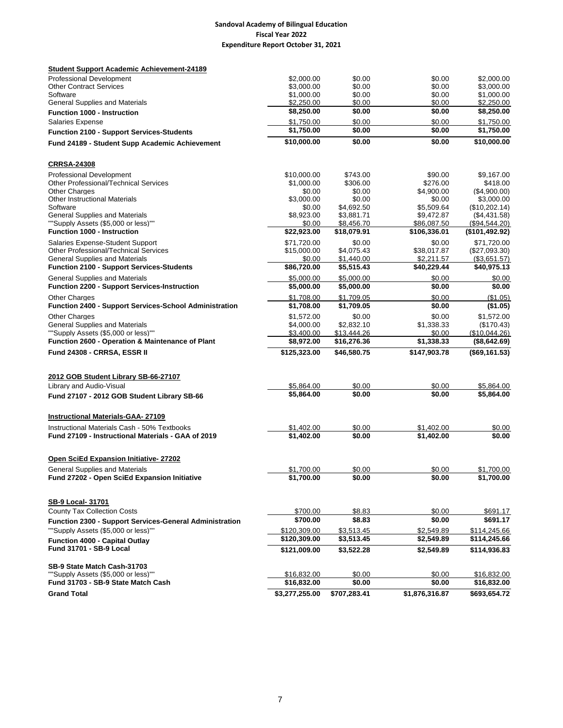## **Sandoval Academy of Bilingual Education Fiscal Year 2022 Expenditure Report October 31, 2021**

| <b>Student Support Academic Achievement-24189</b>                                |                              |                          |                           |                               |
|----------------------------------------------------------------------------------|------------------------------|--------------------------|---------------------------|-------------------------------|
| <b>Professional Development</b>                                                  | \$2,000.00                   | \$0.00                   | \$0.00                    | \$2,000.00                    |
| <b>Other Contract Services</b>                                                   | \$3,000.00                   | \$0.00                   | \$0.00                    | \$3,000.00                    |
| Software                                                                         | \$1,000.00                   | \$0.00                   | \$0.00                    | \$1,000.00                    |
| <b>General Supplies and Materials</b>                                            | \$2,250.00<br>\$8,250.00     | \$0.00<br>\$0.00         | \$0.00<br>\$0.00          | \$2,250.00<br>\$8,250.00      |
| <b>Function 1000 - Instruction</b>                                               |                              |                          |                           |                               |
| <b>Salaries Expense</b>                                                          | \$1,750.00<br>\$1,750.00     | \$0.00<br>\$0.00         | \$0.00<br>\$0.00          | \$1,750.00<br>\$1,750.00      |
| <b>Function 2100 - Support Services-Students</b>                                 |                              |                          |                           |                               |
| Fund 24189 - Student Supp Academic Achievement                                   | \$10,000.00                  | \$0.00                   | \$0.00                    | \$10,000.00                   |
| <b>CRRSA-24308</b>                                                               |                              |                          |                           |                               |
| <b>Professional Development</b>                                                  | \$10,000.00                  | \$743.00                 | \$90.00                   | \$9,167.00                    |
| <b>Other Professional/Technical Services</b>                                     | \$1.000.00                   | \$306.00                 | \$276.00                  | \$418.00                      |
| <b>Other Charges</b>                                                             | \$0.00                       | \$0.00                   | \$4,900.00                | (\$4,900.00)                  |
| <b>Other Instructional Materials</b>                                             | \$3,000.00                   | \$0.00                   | \$0.00                    | \$3,000.00                    |
| Software<br><b>General Supplies and Materials</b>                                | \$0.00                       | \$4,692.50               | \$5,509.64                | (\$10,202.14)                 |
| ""Supply Assets (\$5,000 or less)""                                              | \$8,923.00<br>\$0.00         | \$3,881.71<br>\$8,456.70 | \$9,472.87<br>\$86,087.50 | (\$4,431.58)<br>(\$94,544.20) |
| <b>Function 1000 - Instruction</b>                                               | \$22,923.00                  | \$18,079.91              | \$106,336.01              | (\$101,492.92)                |
|                                                                                  | \$71,720.00                  | \$0.00                   |                           | \$71,720.00                   |
| Salaries Expense-Student Support<br><b>Other Professional/Technical Services</b> | \$15,000.00                  | \$4,075.43               | \$0.00<br>\$38,017.87     | $(\$27,093.30)$               |
| <b>General Supplies and Materials</b>                                            | \$0.00                       | \$1,440.00               | \$2,211.57                | (\$3,651.57)                  |
| <b>Function 2100 - Support Services-Students</b>                                 | \$86,720.00                  | \$5,515.43               | \$40,229.44               | \$40,975.13                   |
| <b>General Supplies and Materials</b>                                            | \$5,000.00                   | \$5,000.00               | \$0.00                    | \$0.00                        |
| <b>Function 2200 - Support Services-Instruction</b>                              | \$5,000.00                   | \$5,000.00               | \$0.00                    | \$0.00                        |
| <b>Other Charges</b>                                                             | \$1,708.00                   | \$1,709.05               | \$0.00                    | (\$1.05)                      |
| <b>Function 2400 - Support Services-School Administration</b>                    | \$1,708.00                   | \$1,709.05               | \$0.00                    | (\$1.05)                      |
| <b>Other Charges</b>                                                             | \$1,572.00                   | \$0.00                   | \$0.00                    | \$1,572.00                    |
| <b>General Supplies and Materials</b>                                            | \$4,000.00                   | \$2.832.10               | \$1,338.33                | (\$170.43)                    |
| ""Supply Assets (\$5,000 or less)""                                              | \$3,400.00                   | \$13,444.26              | \$0.00                    | (\$10,044.26)                 |
| Function 2600 - Operation & Maintenance of Plant                                 | \$8,972.00                   | \$16,276.36              | \$1,338.33                | (\$8,642.69)                  |
| Fund 24308 - CRRSA, ESSR II                                                      | \$125,323.00                 | \$46,580.75              | \$147,903.78              | (\$69,161.53)                 |
|                                                                                  |                              |                          |                           |                               |
| 2012 GOB Student Library SB-66-27107                                             |                              |                          |                           |                               |
| Library and Audio-Visual                                                         | \$5,864.00                   | \$0.00                   | \$0.00                    | \$5,864.00                    |
| Fund 27107 - 2012 GOB Student Library SB-66                                      | \$5,864.00                   | \$0.00                   | \$0.00                    | \$5,864.00                    |
| <b>Instructional Materials-GAA- 27109</b>                                        |                              |                          |                           |                               |
| Instructional Materials Cash - 50% Textbooks                                     | \$1,402.00                   | \$0.00                   | \$1,402.00                | \$0.00                        |
| Fund 27109 - Instructional Materials - GAA of 2019                               | \$1,402.00                   | \$0.00                   | \$1,402.00                | \$0.00                        |
| <b>Open SciEd Expansion Initiative-27202</b>                                     |                              |                          |                           |                               |
| <b>General Supplies and Materials</b>                                            | \$1,700.00                   | \$0.00                   | \$0.00                    | \$1,700.00                    |
| Fund 27202 - Open SciEd Expansion Initiative                                     | \$1,700.00                   | \$0.00                   | \$0.00                    | \$1,700.00                    |
| SB-9 Local- 31701                                                                |                              |                          |                           |                               |
| <b>County Tax Collection Costs</b>                                               | \$700.00                     | \$8.83                   | \$0.00                    | \$691.17                      |
|                                                                                  | \$700.00                     | \$8.83                   | \$0.00                    | \$691.17                      |
| Function 2300 - Support Services-General Administration                          |                              |                          |                           |                               |
| ""Supply Assets (\$5,000 or less)""                                              | \$120,309.00<br>\$120,309.00 | \$3,513.45               | \$2,549.89                | \$114,245.66                  |
| <b>Function 4000 - Capital Outlay</b>                                            |                              | \$3,513.45               | \$2,549.89                | \$114,245.66                  |
| Fund 31701 - SB-9 Local                                                          | \$121,009.00                 | \$3,522.28               | \$2,549.89                | \$114,936.83                  |
| SB-9 State Match Cash-31703                                                      |                              |                          |                           |                               |
| ""Supply Assets (\$5,000 or less)""                                              | \$16,832.00                  | \$0.00                   | \$0.00                    | \$16,832.00                   |
| Fund 31703 - SB-9 State Match Cash                                               | \$16,832.00                  | \$0.00                   | \$0.00                    | \$16,832.00                   |
| <b>Grand Total</b>                                                               | \$3,277,255.00               | \$707,283.41             | \$1,876,316.87            | \$693,654.72                  |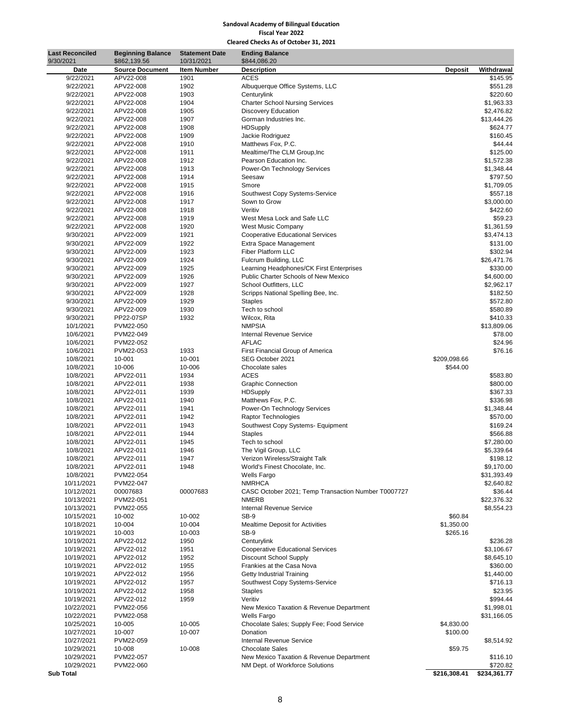#### **Sandoval Academy of Bilingual Education Fiscal Year 2022 Cleared Checks As of October 31, 2021**

| 9/30/2021<br>10/31/2021<br>\$844,086.20<br>\$862,139.56<br><b>Item Number</b><br><b>Description</b><br><b>Deposit</b><br>Withdrawal<br>Date<br><b>Source Document</b><br>9/22/2021<br>APV22-008<br>1901<br>ACES<br>9/22/2021<br>APV22-008<br>1902<br>Albuquerque Office Systems, LLC<br>9/22/2021<br>APV22-008<br>1903<br>Centurylink<br>9/22/2021<br>APV22-008<br>1904<br><b>Charter School Nursing Services</b><br>9/22/2021<br>APV22-008<br>1905<br><b>Discovery Education</b><br>\$13,444.26<br>9/22/2021<br>APV22-008<br>1907<br>Gorman Industries Inc.<br>9/22/2021<br>APV22-008<br>1908<br><b>HDSupply</b><br>9/22/2021<br>APV22-008<br>1909<br>Jackie Rodriguez<br>9/22/2021<br>APV22-008<br>1910<br>Matthews Fox, P.C.<br>9/22/2021<br>APV22-008<br>1911<br>Mealtime/The CLM Group, Inc<br>9/22/2021<br>APV22-008<br>1912<br>Pearson Education Inc.<br>9/22/2021<br>APV22-008<br>1913<br>Power-On Technology Services<br>9/22/2021<br>APV22-008<br>1914<br>Seesaw<br>9/22/2021<br>APV22-008<br>1915<br>Smore<br>9/22/2021<br>APV22-008<br>1916<br>Southwest Copy Systems-Service<br>9/22/2021<br>APV22-008<br>1917<br>Sown to Grow<br>9/22/2021<br>APV22-008<br>1918<br>Veritiv<br>9/22/2021<br>APV22-008<br>1919<br>West Mesa Lock and Safe LLC<br>9/22/2021<br>APV22-008<br>1920<br>West Music Company<br>9/30/2021<br>APV22-009<br>1921<br><b>Cooperative Educational Services</b><br>9/30/2021<br>APV22-009<br>1922<br>Extra Space Management<br>Fiber Platform LLC<br>9/30/2021<br>APV22-009<br>1923<br>9/30/2021<br>APV22-009<br>1924<br>Fulcrum Building, LLC<br>\$26,471.76<br>9/30/2021<br>APV22-009<br>1925<br>Learning Headphones/CK First Enterprises<br>9/30/2021<br>APV22-009<br>1926<br>Public Charter Schools of New Mexico<br>School Outfitters, LLC<br>9/30/2021<br>APV22-009<br>1927<br>9/30/2021<br>APV22-009<br>1928<br>Scripps National Spelling Bee, Inc.<br>9/30/2021<br>APV22-009<br>1929<br><b>Staples</b><br>9/30/2021<br>APV22-009<br>1930<br>Tech to school |            |
|---------------------------------------------------------------------------------------------------------------------------------------------------------------------------------------------------------------------------------------------------------------------------------------------------------------------------------------------------------------------------------------------------------------------------------------------------------------------------------------------------------------------------------------------------------------------------------------------------------------------------------------------------------------------------------------------------------------------------------------------------------------------------------------------------------------------------------------------------------------------------------------------------------------------------------------------------------------------------------------------------------------------------------------------------------------------------------------------------------------------------------------------------------------------------------------------------------------------------------------------------------------------------------------------------------------------------------------------------------------------------------------------------------------------------------------------------------------------------------------------------------------------------------------------------------------------------------------------------------------------------------------------------------------------------------------------------------------------------------------------------------------------------------------------------------------------------------------------------------------------------------------------------------------------------------------------------------------------------------------------------|------------|
|                                                                                                                                                                                                                                                                                                                                                                                                                                                                                                                                                                                                                                                                                                                                                                                                                                                                                                                                                                                                                                                                                                                                                                                                                                                                                                                                                                                                                                                                                                                                                                                                                                                                                                                                                                                                                                                                                                                                                                                                   |            |
|                                                                                                                                                                                                                                                                                                                                                                                                                                                                                                                                                                                                                                                                                                                                                                                                                                                                                                                                                                                                                                                                                                                                                                                                                                                                                                                                                                                                                                                                                                                                                                                                                                                                                                                                                                                                                                                                                                                                                                                                   | \$145.95   |
|                                                                                                                                                                                                                                                                                                                                                                                                                                                                                                                                                                                                                                                                                                                                                                                                                                                                                                                                                                                                                                                                                                                                                                                                                                                                                                                                                                                                                                                                                                                                                                                                                                                                                                                                                                                                                                                                                                                                                                                                   | \$551.28   |
|                                                                                                                                                                                                                                                                                                                                                                                                                                                                                                                                                                                                                                                                                                                                                                                                                                                                                                                                                                                                                                                                                                                                                                                                                                                                                                                                                                                                                                                                                                                                                                                                                                                                                                                                                                                                                                                                                                                                                                                                   | \$220.60   |
|                                                                                                                                                                                                                                                                                                                                                                                                                                                                                                                                                                                                                                                                                                                                                                                                                                                                                                                                                                                                                                                                                                                                                                                                                                                                                                                                                                                                                                                                                                                                                                                                                                                                                                                                                                                                                                                                                                                                                                                                   | \$1,963.33 |
|                                                                                                                                                                                                                                                                                                                                                                                                                                                                                                                                                                                                                                                                                                                                                                                                                                                                                                                                                                                                                                                                                                                                                                                                                                                                                                                                                                                                                                                                                                                                                                                                                                                                                                                                                                                                                                                                                                                                                                                                   | \$2,476.82 |
|                                                                                                                                                                                                                                                                                                                                                                                                                                                                                                                                                                                                                                                                                                                                                                                                                                                                                                                                                                                                                                                                                                                                                                                                                                                                                                                                                                                                                                                                                                                                                                                                                                                                                                                                                                                                                                                                                                                                                                                                   |            |
|                                                                                                                                                                                                                                                                                                                                                                                                                                                                                                                                                                                                                                                                                                                                                                                                                                                                                                                                                                                                                                                                                                                                                                                                                                                                                                                                                                                                                                                                                                                                                                                                                                                                                                                                                                                                                                                                                                                                                                                                   | \$624.77   |
|                                                                                                                                                                                                                                                                                                                                                                                                                                                                                                                                                                                                                                                                                                                                                                                                                                                                                                                                                                                                                                                                                                                                                                                                                                                                                                                                                                                                                                                                                                                                                                                                                                                                                                                                                                                                                                                                                                                                                                                                   | \$160.45   |
|                                                                                                                                                                                                                                                                                                                                                                                                                                                                                                                                                                                                                                                                                                                                                                                                                                                                                                                                                                                                                                                                                                                                                                                                                                                                                                                                                                                                                                                                                                                                                                                                                                                                                                                                                                                                                                                                                                                                                                                                   | \$44.44    |
|                                                                                                                                                                                                                                                                                                                                                                                                                                                                                                                                                                                                                                                                                                                                                                                                                                                                                                                                                                                                                                                                                                                                                                                                                                                                                                                                                                                                                                                                                                                                                                                                                                                                                                                                                                                                                                                                                                                                                                                                   | \$125.00   |
|                                                                                                                                                                                                                                                                                                                                                                                                                                                                                                                                                                                                                                                                                                                                                                                                                                                                                                                                                                                                                                                                                                                                                                                                                                                                                                                                                                                                                                                                                                                                                                                                                                                                                                                                                                                                                                                                                                                                                                                                   | \$1,572.38 |
|                                                                                                                                                                                                                                                                                                                                                                                                                                                                                                                                                                                                                                                                                                                                                                                                                                                                                                                                                                                                                                                                                                                                                                                                                                                                                                                                                                                                                                                                                                                                                                                                                                                                                                                                                                                                                                                                                                                                                                                                   | \$1,348.44 |
|                                                                                                                                                                                                                                                                                                                                                                                                                                                                                                                                                                                                                                                                                                                                                                                                                                                                                                                                                                                                                                                                                                                                                                                                                                                                                                                                                                                                                                                                                                                                                                                                                                                                                                                                                                                                                                                                                                                                                                                                   | \$797.50   |
|                                                                                                                                                                                                                                                                                                                                                                                                                                                                                                                                                                                                                                                                                                                                                                                                                                                                                                                                                                                                                                                                                                                                                                                                                                                                                                                                                                                                                                                                                                                                                                                                                                                                                                                                                                                                                                                                                                                                                                                                   | \$1,709.05 |
|                                                                                                                                                                                                                                                                                                                                                                                                                                                                                                                                                                                                                                                                                                                                                                                                                                                                                                                                                                                                                                                                                                                                                                                                                                                                                                                                                                                                                                                                                                                                                                                                                                                                                                                                                                                                                                                                                                                                                                                                   | \$557.18   |
|                                                                                                                                                                                                                                                                                                                                                                                                                                                                                                                                                                                                                                                                                                                                                                                                                                                                                                                                                                                                                                                                                                                                                                                                                                                                                                                                                                                                                                                                                                                                                                                                                                                                                                                                                                                                                                                                                                                                                                                                   | \$3,000.00 |
|                                                                                                                                                                                                                                                                                                                                                                                                                                                                                                                                                                                                                                                                                                                                                                                                                                                                                                                                                                                                                                                                                                                                                                                                                                                                                                                                                                                                                                                                                                                                                                                                                                                                                                                                                                                                                                                                                                                                                                                                   | \$422.60   |
|                                                                                                                                                                                                                                                                                                                                                                                                                                                                                                                                                                                                                                                                                                                                                                                                                                                                                                                                                                                                                                                                                                                                                                                                                                                                                                                                                                                                                                                                                                                                                                                                                                                                                                                                                                                                                                                                                                                                                                                                   | \$59.23    |
|                                                                                                                                                                                                                                                                                                                                                                                                                                                                                                                                                                                                                                                                                                                                                                                                                                                                                                                                                                                                                                                                                                                                                                                                                                                                                                                                                                                                                                                                                                                                                                                                                                                                                                                                                                                                                                                                                                                                                                                                   | \$1,361.59 |
|                                                                                                                                                                                                                                                                                                                                                                                                                                                                                                                                                                                                                                                                                                                                                                                                                                                                                                                                                                                                                                                                                                                                                                                                                                                                                                                                                                                                                                                                                                                                                                                                                                                                                                                                                                                                                                                                                                                                                                                                   | \$3,474.13 |
|                                                                                                                                                                                                                                                                                                                                                                                                                                                                                                                                                                                                                                                                                                                                                                                                                                                                                                                                                                                                                                                                                                                                                                                                                                                                                                                                                                                                                                                                                                                                                                                                                                                                                                                                                                                                                                                                                                                                                                                                   | \$131.00   |
|                                                                                                                                                                                                                                                                                                                                                                                                                                                                                                                                                                                                                                                                                                                                                                                                                                                                                                                                                                                                                                                                                                                                                                                                                                                                                                                                                                                                                                                                                                                                                                                                                                                                                                                                                                                                                                                                                                                                                                                                   | \$302.94   |
|                                                                                                                                                                                                                                                                                                                                                                                                                                                                                                                                                                                                                                                                                                                                                                                                                                                                                                                                                                                                                                                                                                                                                                                                                                                                                                                                                                                                                                                                                                                                                                                                                                                                                                                                                                                                                                                                                                                                                                                                   |            |
|                                                                                                                                                                                                                                                                                                                                                                                                                                                                                                                                                                                                                                                                                                                                                                                                                                                                                                                                                                                                                                                                                                                                                                                                                                                                                                                                                                                                                                                                                                                                                                                                                                                                                                                                                                                                                                                                                                                                                                                                   | \$330.00   |
|                                                                                                                                                                                                                                                                                                                                                                                                                                                                                                                                                                                                                                                                                                                                                                                                                                                                                                                                                                                                                                                                                                                                                                                                                                                                                                                                                                                                                                                                                                                                                                                                                                                                                                                                                                                                                                                                                                                                                                                                   | \$4,600.00 |
|                                                                                                                                                                                                                                                                                                                                                                                                                                                                                                                                                                                                                                                                                                                                                                                                                                                                                                                                                                                                                                                                                                                                                                                                                                                                                                                                                                                                                                                                                                                                                                                                                                                                                                                                                                                                                                                                                                                                                                                                   | \$2,962.17 |
|                                                                                                                                                                                                                                                                                                                                                                                                                                                                                                                                                                                                                                                                                                                                                                                                                                                                                                                                                                                                                                                                                                                                                                                                                                                                                                                                                                                                                                                                                                                                                                                                                                                                                                                                                                                                                                                                                                                                                                                                   | \$182.50   |
|                                                                                                                                                                                                                                                                                                                                                                                                                                                                                                                                                                                                                                                                                                                                                                                                                                                                                                                                                                                                                                                                                                                                                                                                                                                                                                                                                                                                                                                                                                                                                                                                                                                                                                                                                                                                                                                                                                                                                                                                   | \$572.80   |
|                                                                                                                                                                                                                                                                                                                                                                                                                                                                                                                                                                                                                                                                                                                                                                                                                                                                                                                                                                                                                                                                                                                                                                                                                                                                                                                                                                                                                                                                                                                                                                                                                                                                                                                                                                                                                                                                                                                                                                                                   | \$580.89   |
| 9/30/2021<br>PP22-07SP<br>1932<br>Wilcox, Rita                                                                                                                                                                                                                                                                                                                                                                                                                                                                                                                                                                                                                                                                                                                                                                                                                                                                                                                                                                                                                                                                                                                                                                                                                                                                                                                                                                                                                                                                                                                                                                                                                                                                                                                                                                                                                                                                                                                                                    | \$410.33   |
| <b>NMPSIA</b><br>\$13,809.06<br>10/1/2021<br>PVM22-050                                                                                                                                                                                                                                                                                                                                                                                                                                                                                                                                                                                                                                                                                                                                                                                                                                                                                                                                                                                                                                                                                                                                                                                                                                                                                                                                                                                                                                                                                                                                                                                                                                                                                                                                                                                                                                                                                                                                            |            |
| 10/6/2021<br>PVM22-049<br><b>Internal Revenue Service</b>                                                                                                                                                                                                                                                                                                                                                                                                                                                                                                                                                                                                                                                                                                                                                                                                                                                                                                                                                                                                                                                                                                                                                                                                                                                                                                                                                                                                                                                                                                                                                                                                                                                                                                                                                                                                                                                                                                                                         | \$78.00    |
| <b>AFLAC</b><br>10/6/2021<br>PVM22-052                                                                                                                                                                                                                                                                                                                                                                                                                                                                                                                                                                                                                                                                                                                                                                                                                                                                                                                                                                                                                                                                                                                                                                                                                                                                                                                                                                                                                                                                                                                                                                                                                                                                                                                                                                                                                                                                                                                                                            | \$24.96    |
| 1933<br>10/6/2021<br>PVM22-053<br>First Financial Group of America                                                                                                                                                                                                                                                                                                                                                                                                                                                                                                                                                                                                                                                                                                                                                                                                                                                                                                                                                                                                                                                                                                                                                                                                                                                                                                                                                                                                                                                                                                                                                                                                                                                                                                                                                                                                                                                                                                                                | \$76.16    |
| \$209,098.66<br>10/8/2021<br>10-001<br>10-001<br>SEG October 2021                                                                                                                                                                                                                                                                                                                                                                                                                                                                                                                                                                                                                                                                                                                                                                                                                                                                                                                                                                                                                                                                                                                                                                                                                                                                                                                                                                                                                                                                                                                                                                                                                                                                                                                                                                                                                                                                                                                                 |            |
| 10/8/2021<br>10-006<br>10-006<br>Chocolate sales<br>\$544.00                                                                                                                                                                                                                                                                                                                                                                                                                                                                                                                                                                                                                                                                                                                                                                                                                                                                                                                                                                                                                                                                                                                                                                                                                                                                                                                                                                                                                                                                                                                                                                                                                                                                                                                                                                                                                                                                                                                                      |            |
| <b>ACES</b><br>10/8/2021<br>APV22-011<br>1934                                                                                                                                                                                                                                                                                                                                                                                                                                                                                                                                                                                                                                                                                                                                                                                                                                                                                                                                                                                                                                                                                                                                                                                                                                                                                                                                                                                                                                                                                                                                                                                                                                                                                                                                                                                                                                                                                                                                                     | \$583.80   |
| 10/8/2021<br>APV22-011<br>1938<br><b>Graphic Connection</b>                                                                                                                                                                                                                                                                                                                                                                                                                                                                                                                                                                                                                                                                                                                                                                                                                                                                                                                                                                                                                                                                                                                                                                                                                                                                                                                                                                                                                                                                                                                                                                                                                                                                                                                                                                                                                                                                                                                                       | \$800.00   |
| APV22-011<br>1939<br>10/8/2021<br><b>HDSupply</b>                                                                                                                                                                                                                                                                                                                                                                                                                                                                                                                                                                                                                                                                                                                                                                                                                                                                                                                                                                                                                                                                                                                                                                                                                                                                                                                                                                                                                                                                                                                                                                                                                                                                                                                                                                                                                                                                                                                                                 | \$367.33   |
| 10/8/2021<br>APV22-011<br>Matthews Fox, P.C.<br>1940                                                                                                                                                                                                                                                                                                                                                                                                                                                                                                                                                                                                                                                                                                                                                                                                                                                                                                                                                                                                                                                                                                                                                                                                                                                                                                                                                                                                                                                                                                                                                                                                                                                                                                                                                                                                                                                                                                                                              | \$336.98   |
| APV22-011<br>Power-On Technology Services<br>10/8/2021<br>1941                                                                                                                                                                                                                                                                                                                                                                                                                                                                                                                                                                                                                                                                                                                                                                                                                                                                                                                                                                                                                                                                                                                                                                                                                                                                                                                                                                                                                                                                                                                                                                                                                                                                                                                                                                                                                                                                                                                                    | \$1,348.44 |
| APV22-011<br>10/8/2021<br>1942<br>Raptor Technologies                                                                                                                                                                                                                                                                                                                                                                                                                                                                                                                                                                                                                                                                                                                                                                                                                                                                                                                                                                                                                                                                                                                                                                                                                                                                                                                                                                                                                                                                                                                                                                                                                                                                                                                                                                                                                                                                                                                                             | \$570.00   |
| Southwest Copy Systems- Equipment<br>10/8/2021<br>APV22-011<br>1943                                                                                                                                                                                                                                                                                                                                                                                                                                                                                                                                                                                                                                                                                                                                                                                                                                                                                                                                                                                                                                                                                                                                                                                                                                                                                                                                                                                                                                                                                                                                                                                                                                                                                                                                                                                                                                                                                                                               | \$169.24   |
| APV22-011<br>10/8/2021<br>1944<br><b>Staples</b>                                                                                                                                                                                                                                                                                                                                                                                                                                                                                                                                                                                                                                                                                                                                                                                                                                                                                                                                                                                                                                                                                                                                                                                                                                                                                                                                                                                                                                                                                                                                                                                                                                                                                                                                                                                                                                                                                                                                                  | \$566.88   |
| APV22-011<br>Tech to school<br>10/8/2021<br>1945                                                                                                                                                                                                                                                                                                                                                                                                                                                                                                                                                                                                                                                                                                                                                                                                                                                                                                                                                                                                                                                                                                                                                                                                                                                                                                                                                                                                                                                                                                                                                                                                                                                                                                                                                                                                                                                                                                                                                  | \$7,280.00 |
| 10/8/2021<br>APV22-011<br>1946<br>The Vigil Group, LLC                                                                                                                                                                                                                                                                                                                                                                                                                                                                                                                                                                                                                                                                                                                                                                                                                                                                                                                                                                                                                                                                                                                                                                                                                                                                                                                                                                                                                                                                                                                                                                                                                                                                                                                                                                                                                                                                                                                                            | \$5,339.64 |
| APV22-011<br>1947<br>10/8/2021<br>Verizon Wireless/Straight Talk                                                                                                                                                                                                                                                                                                                                                                                                                                                                                                                                                                                                                                                                                                                                                                                                                                                                                                                                                                                                                                                                                                                                                                                                                                                                                                                                                                                                                                                                                                                                                                                                                                                                                                                                                                                                                                                                                                                                  | \$198.12   |
| 1948<br>10/8/2021<br>APV22-011<br>World's Finest Chocolate, Inc.                                                                                                                                                                                                                                                                                                                                                                                                                                                                                                                                                                                                                                                                                                                                                                                                                                                                                                                                                                                                                                                                                                                                                                                                                                                                                                                                                                                                                                                                                                                                                                                                                                                                                                                                                                                                                                                                                                                                  | \$9,170.00 |
| PVM22-054<br>\$31,393.49<br>10/8/2021<br>Wells Fargo                                                                                                                                                                                                                                                                                                                                                                                                                                                                                                                                                                                                                                                                                                                                                                                                                                                                                                                                                                                                                                                                                                                                                                                                                                                                                                                                                                                                                                                                                                                                                                                                                                                                                                                                                                                                                                                                                                                                              |            |
| <b>NMRHCA</b><br>10/11/2021<br>PVM22-047                                                                                                                                                                                                                                                                                                                                                                                                                                                                                                                                                                                                                                                                                                                                                                                                                                                                                                                                                                                                                                                                                                                                                                                                                                                                                                                                                                                                                                                                                                                                                                                                                                                                                                                                                                                                                                                                                                                                                          | \$2,640.82 |
| 00007683<br>CASC October 2021; Temp Transaction Number T0007727<br>10/12/2021<br>00007683                                                                                                                                                                                                                                                                                                                                                                                                                                                                                                                                                                                                                                                                                                                                                                                                                                                                                                                                                                                                                                                                                                                                                                                                                                                                                                                                                                                                                                                                                                                                                                                                                                                                                                                                                                                                                                                                                                         | \$36.44    |
| <b>NMERB</b><br>\$22,376.32<br>10/13/2021<br>PVM22-051                                                                                                                                                                                                                                                                                                                                                                                                                                                                                                                                                                                                                                                                                                                                                                                                                                                                                                                                                                                                                                                                                                                                                                                                                                                                                                                                                                                                                                                                                                                                                                                                                                                                                                                                                                                                                                                                                                                                            |            |
| <b>Internal Revenue Service</b><br>10/13/2021<br>PVM22-055<br>$SB-9$                                                                                                                                                                                                                                                                                                                                                                                                                                                                                                                                                                                                                                                                                                                                                                                                                                                                                                                                                                                                                                                                                                                                                                                                                                                                                                                                                                                                                                                                                                                                                                                                                                                                                                                                                                                                                                                                                                                              | \$8,554.23 |
| 10-002<br>\$60.84<br>10/15/2021<br>10-002<br>10-004<br>10-004<br>\$1,350.00<br>10/18/2021<br><b>Mealtime Deposit for Activities</b>                                                                                                                                                                                                                                                                                                                                                                                                                                                                                                                                                                                                                                                                                                                                                                                                                                                                                                                                                                                                                                                                                                                                                                                                                                                                                                                                                                                                                                                                                                                                                                                                                                                                                                                                                                                                                                                               |            |
| $SB-9$<br>10-003<br>\$265.16                                                                                                                                                                                                                                                                                                                                                                                                                                                                                                                                                                                                                                                                                                                                                                                                                                                                                                                                                                                                                                                                                                                                                                                                                                                                                                                                                                                                                                                                                                                                                                                                                                                                                                                                                                                                                                                                                                                                                                      |            |
| 10/19/2021<br>10-003<br>APV22-012<br>Centurylink<br>10/19/2021<br>1950                                                                                                                                                                                                                                                                                                                                                                                                                                                                                                                                                                                                                                                                                                                                                                                                                                                                                                                                                                                                                                                                                                                                                                                                                                                                                                                                                                                                                                                                                                                                                                                                                                                                                                                                                                                                                                                                                                                            | \$236.28   |
| APV22-012<br><b>Cooperative Educational Services</b><br>10/19/2021<br>1951                                                                                                                                                                                                                                                                                                                                                                                                                                                                                                                                                                                                                                                                                                                                                                                                                                                                                                                                                                                                                                                                                                                                                                                                                                                                                                                                                                                                                                                                                                                                                                                                                                                                                                                                                                                                                                                                                                                        | \$3,106.67 |
| Discount School Supply<br>10/19/2021<br>APV22-012<br>1952                                                                                                                                                                                                                                                                                                                                                                                                                                                                                                                                                                                                                                                                                                                                                                                                                                                                                                                                                                                                                                                                                                                                                                                                                                                                                                                                                                                                                                                                                                                                                                                                                                                                                                                                                                                                                                                                                                                                         | \$8,645.10 |
| APV22-012<br>Frankies at the Casa Nova<br>10/19/2021<br>1955                                                                                                                                                                                                                                                                                                                                                                                                                                                                                                                                                                                                                                                                                                                                                                                                                                                                                                                                                                                                                                                                                                                                                                                                                                                                                                                                                                                                                                                                                                                                                                                                                                                                                                                                                                                                                                                                                                                                      | \$360.00   |
| Getty Industrial Training<br>10/19/2021<br>APV22-012<br>1956                                                                                                                                                                                                                                                                                                                                                                                                                                                                                                                                                                                                                                                                                                                                                                                                                                                                                                                                                                                                                                                                                                                                                                                                                                                                                                                                                                                                                                                                                                                                                                                                                                                                                                                                                                                                                                                                                                                                      | \$1,440.00 |
| APV22-012<br>Southwest Copy Systems-Service<br>10/19/2021<br>1957                                                                                                                                                                                                                                                                                                                                                                                                                                                                                                                                                                                                                                                                                                                                                                                                                                                                                                                                                                                                                                                                                                                                                                                                                                                                                                                                                                                                                                                                                                                                                                                                                                                                                                                                                                                                                                                                                                                                 | \$716.13   |
| 1958<br>10/19/2021<br>APV22-012<br><b>Staples</b>                                                                                                                                                                                                                                                                                                                                                                                                                                                                                                                                                                                                                                                                                                                                                                                                                                                                                                                                                                                                                                                                                                                                                                                                                                                                                                                                                                                                                                                                                                                                                                                                                                                                                                                                                                                                                                                                                                                                                 | \$23.95    |
| APV22-012<br>1959<br>Veritiv<br>10/19/2021                                                                                                                                                                                                                                                                                                                                                                                                                                                                                                                                                                                                                                                                                                                                                                                                                                                                                                                                                                                                                                                                                                                                                                                                                                                                                                                                                                                                                                                                                                                                                                                                                                                                                                                                                                                                                                                                                                                                                        | \$994.44   |
| New Mexico Taxation & Revenue Department<br>10/22/2021<br>PVM22-056                                                                                                                                                                                                                                                                                                                                                                                                                                                                                                                                                                                                                                                                                                                                                                                                                                                                                                                                                                                                                                                                                                                                                                                                                                                                                                                                                                                                                                                                                                                                                                                                                                                                                                                                                                                                                                                                                                                               | \$1,998.01 |
| \$31,166.05<br>10/22/2021<br>PVM22-058<br>Wells Fargo                                                                                                                                                                                                                                                                                                                                                                                                                                                                                                                                                                                                                                                                                                                                                                                                                                                                                                                                                                                                                                                                                                                                                                                                                                                                                                                                                                                                                                                                                                                                                                                                                                                                                                                                                                                                                                                                                                                                             |            |
| 10/25/2021<br>10-005<br>Chocolate Sales; Supply Fee; Food Service<br>\$4,830.00<br>10-005                                                                                                                                                                                                                                                                                                                                                                                                                                                                                                                                                                                                                                                                                                                                                                                                                                                                                                                                                                                                                                                                                                                                                                                                                                                                                                                                                                                                                                                                                                                                                                                                                                                                                                                                                                                                                                                                                                         |            |
| 10/27/2021<br>10-007<br>10-007<br>Donation<br>\$100.00                                                                                                                                                                                                                                                                                                                                                                                                                                                                                                                                                                                                                                                                                                                                                                                                                                                                                                                                                                                                                                                                                                                                                                                                                                                                                                                                                                                                                                                                                                                                                                                                                                                                                                                                                                                                                                                                                                                                            |            |
| PVM22-059<br><b>Internal Revenue Service</b><br>10/27/2021                                                                                                                                                                                                                                                                                                                                                                                                                                                                                                                                                                                                                                                                                                                                                                                                                                                                                                                                                                                                                                                                                                                                                                                                                                                                                                                                                                                                                                                                                                                                                                                                                                                                                                                                                                                                                                                                                                                                        | \$8,514.92 |
| 10-008<br>10-008<br><b>Chocolate Sales</b><br>\$59.75<br>10/29/2021                                                                                                                                                                                                                                                                                                                                                                                                                                                                                                                                                                                                                                                                                                                                                                                                                                                                                                                                                                                                                                                                                                                                                                                                                                                                                                                                                                                                                                                                                                                                                                                                                                                                                                                                                                                                                                                                                                                               |            |
| PVM22-057<br>New Mexico Taxation & Revenue Department<br>10/29/2021                                                                                                                                                                                                                                                                                                                                                                                                                                                                                                                                                                                                                                                                                                                                                                                                                                                                                                                                                                                                                                                                                                                                                                                                                                                                                                                                                                                                                                                                                                                                                                                                                                                                                                                                                                                                                                                                                                                               | \$116.10   |
| 10/29/2021<br>PVM22-060<br>NM Dept. of Workforce Solutions                                                                                                                                                                                                                                                                                                                                                                                                                                                                                                                                                                                                                                                                                                                                                                                                                                                                                                                                                                                                                                                                                                                                                                                                                                                                                                                                                                                                                                                                                                                                                                                                                                                                                                                                                                                                                                                                                                                                        |            |
| \$216,308.41<br>\$234,361.77<br><b>Sub Total</b>                                                                                                                                                                                                                                                                                                                                                                                                                                                                                                                                                                                                                                                                                                                                                                                                                                                                                                                                                                                                                                                                                                                                                                                                                                                                                                                                                                                                                                                                                                                                                                                                                                                                                                                                                                                                                                                                                                                                                  | \$720.82   |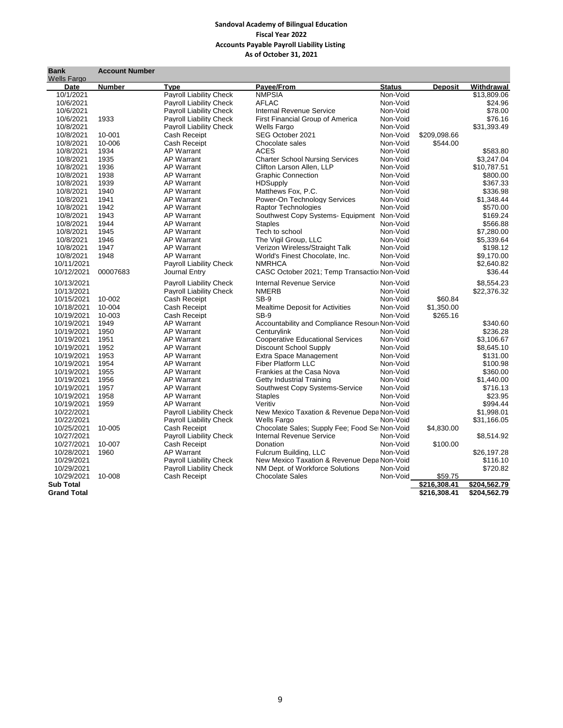## **Sandoval Academy of Bilingual Education Fiscal Year 2022 Accounts Payable Payroll Liability Listing As of October 31, 2021**

| Bank               | <b>Account Number</b> |                                |                                               |               |                |              |
|--------------------|-----------------------|--------------------------------|-----------------------------------------------|---------------|----------------|--------------|
| <b>Wells Fargo</b> |                       |                                |                                               |               |                |              |
| <b>Date</b>        | <b>Number</b>         | <b>Type</b>                    | Payee/From                                    | <b>Status</b> | <b>Deposit</b> | Withdrawal   |
| 10/1/2021          |                       | Payroll Liability Check        | <b>NMPSIA</b>                                 | Non-Void      |                | \$13,809.06  |
| 10/6/2021          |                       | <b>Payroll Liability Check</b> | <b>AFLAC</b>                                  | Non-Void      |                | \$24.96      |
| 10/6/2021          |                       | <b>Payroll Liability Check</b> | <b>Internal Revenue Service</b>               | Non-Void      |                | \$78.00      |
| 10/6/2021          | 1933                  | <b>Payroll Liability Check</b> | <b>First Financial Group of America</b>       | Non-Void      |                | \$76.16      |
| 10/8/2021          |                       | <b>Payroll Liability Check</b> | <b>Wells Fargo</b>                            | Non-Void      |                | \$31,393.49  |
| 10/8/2021          | 10-001                | Cash Receipt                   | SEG October 2021                              | Non-Void      | \$209,098.66   |              |
| 10/8/2021          | 10-006                | Cash Receipt                   | Chocolate sales                               | Non-Void      | \$544.00       |              |
| 10/8/2021          | 1934                  | <b>AP Warrant</b>              | <b>ACES</b>                                   | Non-Void      |                | \$583.80     |
| 10/8/2021          | 1935                  | <b>AP Warrant</b>              | <b>Charter School Nursing Services</b>        | Non-Void      |                | \$3.247.04   |
| 10/8/2021          | 1936                  | <b>AP Warrant</b>              | Clifton Larson Allen, LLP                     | Non-Void      |                | \$10.787.51  |
| 10/8/2021          | 1938                  | <b>AP Warrant</b>              | <b>Graphic Connection</b>                     | Non-Void      |                | \$800.00     |
| 10/8/2021          | 1939                  | <b>AP Warrant</b>              | <b>HDSupply</b>                               | Non-Void      |                | \$367.33     |
| 10/8/2021          | 1940                  | <b>AP Warrant</b>              | Matthews Fox, P.C.                            | Non-Void      |                | \$336.98     |
| 10/8/2021          | 1941                  | <b>AP Warrant</b>              | Power-On Technology Services                  | Non-Void      |                | \$1,348.44   |
| 10/8/2021          | 1942                  | <b>AP Warrant</b>              | <b>Raptor Technologies</b>                    | Non-Void      |                | \$570.00     |
| 10/8/2021          | 1943                  | <b>AP Warrant</b>              | Southwest Copy Systems- Equipment             | Non-Void      |                | \$169.24     |
| 10/8/2021          | 1944                  | <b>AP Warrant</b>              | <b>Staples</b>                                | Non-Void      |                | \$566.88     |
| 10/8/2021          | 1945                  | <b>AP Warrant</b>              | Tech to school                                | Non-Void      |                | \$7,280.00   |
| 10/8/2021          | 1946                  | <b>AP Warrant</b>              | The Vigil Group, LLC                          | Non-Void      |                | \$5,339.64   |
| 10/8/2021          | 1947                  | <b>AP Warrant</b>              | Verizon Wireless/Straight Talk                | Non-Void      |                | \$198.12     |
| 10/8/2021          | 1948                  | <b>AP Warrant</b>              | World's Finest Chocolate, Inc.                | Non-Void      |                | \$9,170.00   |
| 10/11/2021         |                       | <b>Payroll Liability Check</b> | <b>NMRHCA</b>                                 | Non-Void      |                | \$2,640.82   |
| 10/12/2021         | 00007683              | Journal Entry                  | CASC October 2021; Temp Transactio Non-Void   |               |                | \$36.44      |
|                    |                       |                                |                                               |               |                |              |
| 10/13/2021         |                       | <b>Payroll Liability Check</b> | <b>Internal Revenue Service</b>               | Non-Void      |                | \$8,554.23   |
| 10/13/2021         |                       | <b>Payroll Liability Check</b> | <b>NMERB</b>                                  | Non-Void      |                | \$22,376.32  |
| 10/15/2021         | 10-002                | Cash Receipt                   | $SB-9$                                        | Non-Void      | \$60.84        |              |
| 10/18/2021         | 10-004                | <b>Cash Receipt</b>            | <b>Mealtime Deposit for Activities</b>        | Non-Void      | \$1,350.00     |              |
| 10/19/2021         | 10-003                | Cash Receipt                   | SB-9                                          | Non-Void      | \$265.16       |              |
| 10/19/2021         | 1949                  | <b>AP Warrant</b>              | Accountability and Compliance Resour Non-Void |               |                | \$340.60     |
| 10/19/2021         | 1950                  | <b>AP Warrant</b>              | Centurvlink                                   | Non-Void      |                | \$236.28     |
| 10/19/2021         | 1951                  | AP Warrant                     | <b>Cooperative Educational Services</b>       | Non-Void      |                | \$3,106.67   |
| 10/19/2021         | 1952                  | <b>AP Warrant</b>              | Discount School Supply                        | Non-Void      |                | \$8.645.10   |
| 10/19/2021         | 1953                  | <b>AP Warrant</b>              | Extra Space Management                        | Non-Void      |                | \$131.00     |
| 10/19/2021         | 1954                  | <b>AP Warrant</b>              | <b>Fiber Platform LLC</b>                     | Non-Void      |                | \$100.98     |
| 10/19/2021         | 1955                  | <b>AP Warrant</b>              | Frankies at the Casa Nova                     | Non-Void      |                | \$360.00     |
| 10/19/2021         | 1956                  | <b>AP Warrant</b>              | Getty Industrial Training                     | Non-Void      |                | \$1,440.00   |
| 10/19/2021         | 1957                  | <b>AP Warrant</b>              | Southwest Copy Systems-Service                | Non-Void      |                | \$716.13     |
| 10/19/2021         | 1958                  | <b>AP Warrant</b>              | <b>Staples</b>                                | Non-Void      |                | \$23.95      |
| 10/19/2021         | 1959                  | <b>AP Warrant</b>              | Veritiv                                       | Non-Void      |                | \$994.44     |
| 10/22/2021         |                       | <b>Payroll Liability Check</b> | New Mexico Taxation & Revenue Depa Non-Void   |               |                | \$1,998.01   |
| 10/22/2021         |                       | <b>Payroll Liability Check</b> | Wells Fargo                                   | Non-Void      |                | \$31,166.05  |
| 10/25/2021         | 10-005                | Cash Receipt                   | Chocolate Sales; Supply Fee; Food Se Non-Void |               | \$4,830.00     |              |
| 10/27/2021         |                       | <b>Payroll Liability Check</b> | <b>Internal Revenue Service</b>               | Non-Void      |                | \$8,514.92   |
| 10/27/2021         | 10-007                | <b>Cash Receipt</b>            | Donation                                      | Non-Void      | \$100.00       |              |
| 10/28/2021         | 1960                  | <b>AP Warrant</b>              | Fulcrum Building, LLC                         | Non-Void      |                | \$26,197.28  |
| 10/29/2021         |                       | <b>Pavroll Liability Check</b> | New Mexico Taxation & Revenue Depa Non-Void   |               |                | \$116.10     |
| 10/29/2021         |                       | <b>Payroll Liability Check</b> | NM Dept. of Workforce Solutions               | Non-Void      |                | \$720.82     |
| 10/29/2021         | 10-008                | <b>Cash Receipt</b>            | <b>Chocolate Sales</b>                        | Non-Void      | \$59.75        |              |
| <b>Sub Total</b>   |                       |                                |                                               |               | \$216.308.41   | \$204,562.79 |
| <b>Grand Total</b> |                       |                                |                                               |               | \$216,308.41   | \$204,562.79 |
|                    |                       |                                |                                               |               |                |              |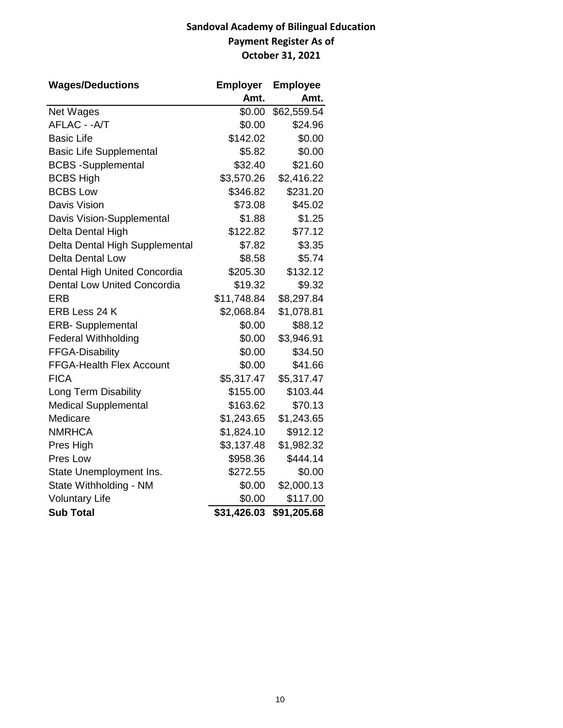# **Sandoval Academy of Bilingual Education Payment Register As of October 31, 2021**

| <b>Wages/Deductions</b>            | <b>Employer</b> | <b>Employee</b> |
|------------------------------------|-----------------|-----------------|
|                                    | Amt.            | Amt.            |
| Net Wages                          | \$0.00          | \$62,559.54     |
| AFLAC - - A/T                      | \$0.00          | \$24.96         |
| <b>Basic Life</b>                  | \$142.02        | \$0.00          |
| <b>Basic Life Supplemental</b>     | \$5.82          | \$0.00          |
| <b>BCBS</b> -Supplemental          | \$32.40         | \$21.60         |
| <b>BCBS High</b>                   | \$3,570.26      | \$2,416.22      |
| <b>BCBS Low</b>                    | \$346.82        | \$231.20        |
| Davis Vision                       | \$73.08         | \$45.02         |
| Davis Vision-Supplemental          | \$1.88          | \$1.25          |
| Delta Dental High                  | \$122.82        | \$77.12         |
| Delta Dental High Supplemental     | \$7.82          | \$3.35          |
| <b>Delta Dental Low</b>            | \$8.58          | \$5.74          |
| Dental High United Concordia       | \$205.30        | \$132.12        |
| <b>Dental Low United Concordia</b> | \$19.32         | \$9.32          |
| <b>ERB</b>                         | \$11,748.84     | \$8,297.84      |
| ERB Less 24 K                      | \$2,068.84      | \$1,078.81      |
| <b>ERB-</b> Supplemental           | \$0.00          | \$88.12         |
| <b>Federal Withholding</b>         | \$0.00          | \$3,946.91      |
| <b>FFGA-Disability</b>             | \$0.00          | \$34.50         |
| <b>FFGA-Health Flex Account</b>    | \$0.00          | \$41.66         |
| <b>FICA</b>                        | \$5,317.47      | \$5,317.47      |
| Long Term Disability               | \$155.00        | \$103.44        |
| <b>Medical Supplemental</b>        | \$163.62        | \$70.13         |
| Medicare                           | \$1,243.65      | \$1,243.65      |
| <b>NMRHCA</b>                      | \$1,824.10      | \$912.12        |
| Pres High                          | \$3,137.48      | \$1,982.32      |
| Pres Low                           | \$958.36        | \$444.14        |
| State Unemployment Ins.            | \$272.55        | \$0.00          |
| State Withholding - NM             | \$0.00          | \$2,000.13      |
| <b>Voluntary Life</b>              | \$0.00          | \$117.00        |
| <b>Sub Total</b>                   | \$31,426.03     | \$91,205.68     |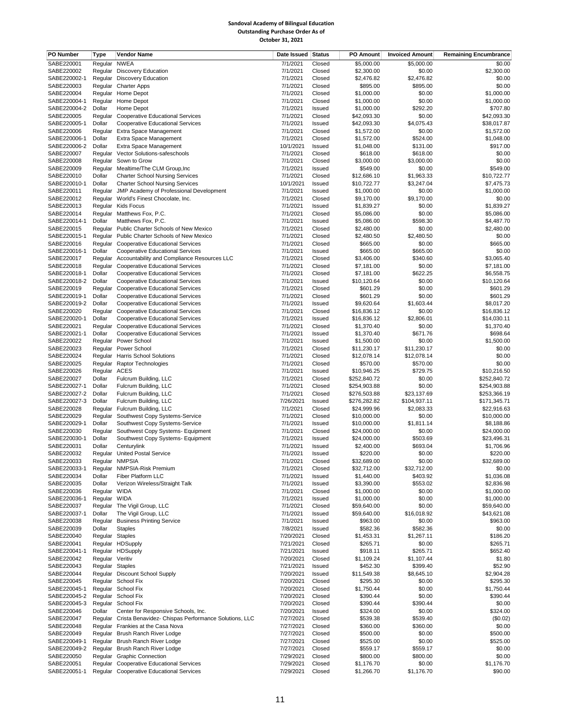#### **Sandoval Academy of Bilingual Education Outstanding Purchase Order As of October 31, 2021**

| PO Number                  | <b>Type</b>            | <b>Vendor Name</b>                                                                                 | Date Issued Status     |                  | <b>PO Amount</b>           | <b>Invoiced Amount</b>  | <b>Remaining Encumbrance</b> |
|----------------------------|------------------------|----------------------------------------------------------------------------------------------------|------------------------|------------------|----------------------------|-------------------------|------------------------------|
| SABE220001                 | Regular                | <b>NWEA</b>                                                                                        | 7/1/2021               | Closed           | \$5,000.00                 | \$5,000.00              | \$0.00                       |
| SABE220002                 |                        | Regular Discovery Education                                                                        | 7/1/2021               | Closed           | \$2,300.00                 | \$0.00                  | \$2,300.00                   |
| SABE220002-1               |                        | Regular Discovery Education                                                                        | 7/1/2021               | Closed           | \$2,476.82                 | \$2,476.82              | \$0.00                       |
| SABE220003<br>SABE220004   | Regular                | Regular Charter Apps<br>Home Depot                                                                 | 7/1/2021<br>7/1/2021   | Closed<br>Closed | \$895.00<br>\$1,000.00     | \$895.00<br>\$0.00      | \$0.00<br>\$1,000.00         |
| SABE220004-1               | Regular                | Home Depot                                                                                         | 7/1/2021               | Closed           | \$1,000.00                 | \$0.00                  | \$1,000.00                   |
| SABE220004-2               | Dollar                 | Home Depot                                                                                         | 7/1/2021               | Issued           | \$1,000.00                 | \$292.20                | \$707.80                     |
| SABE220005                 | Regular                | <b>Cooperative Educational Services</b>                                                            | 7/1/2021               | Closed           | \$42,093.30                | \$0.00                  | \$42,093.30                  |
| SABE220005-1               | Dollar                 | <b>Cooperative Educational Services</b>                                                            | 7/1/2021               | Issued           | \$42,093.30                | \$4,075.43              | \$38,017.87                  |
| SABE220006                 | Regular                | Extra Space Management                                                                             | 7/1/2021               | Closed           | \$1,572.00                 | \$0.00                  | \$1,572.00                   |
| SABE220006-1               | Dollar                 | Extra Space Management                                                                             | 7/1/2021               | Closed           | \$1,572.00                 | \$524.00                | \$1,048.00                   |
| SABE220006-2<br>SABE220007 | Dollar                 | Extra Space Management                                                                             | 10/1/2021<br>7/1/2021  | Issued           | \$1,048.00                 | \$131.00<br>\$618.00    | \$917.00<br>\$0.00           |
| SABE220008                 | Regular                | Regular Vector Solutions-safeschools<br>Sown to Grow                                               | 7/1/2021               | Closed<br>Closed | \$618.00<br>\$3,000.00     | \$3,000.00              | \$0.00                       |
| SABE220009                 |                        | Regular Mealtime/The CLM Group, Inc                                                                | 7/1/2021               | Issued           | \$549.00                   | \$0.00                  | \$549.00                     |
| SABE220010                 | Dollar                 | <b>Charter School Nursing Services</b>                                                             | 7/1/2021               | Closed           | \$12,686.10                | \$1,963.33              | \$10,722.77                  |
| SABE220010-1               | Dollar                 | <b>Charter School Nursing Services</b>                                                             | 10/1/2021              | Issued           | \$10,722.77                | \$3,247.04              | \$7,475.73                   |
| SABE220011                 |                        | Regular JMP Academy of Professional Development                                                    | 7/1/2021               | Issued           | \$1,000.00                 | \$0.00                  | \$1,000.00                   |
| SABE220012                 |                        | Regular World's Finest Chocolate, Inc.                                                             | 7/1/2021               | Closed           | \$9,170.00                 | \$9,170.00              | \$0.00                       |
| SABE220013                 |                        | Regular Kids Focus                                                                                 | 7/1/2021               | Issued           | \$1,839.27                 | \$0.00                  | \$1,839.27                   |
| SABE220014<br>SABE220014-1 | Regular<br>Dollar      | Matthews Fox, P.C.<br>Matthews Fox, P.C.                                                           | 7/1/2021<br>7/1/2021   | Closed<br>Issued | \$5,086.00<br>\$5,086.00   | \$0.00<br>\$598.30      | \$5,086.00<br>\$4,487.70     |
| SABE220015                 |                        | Regular Public Charter Schools of New Mexico                                                       | 7/1/2021               | Closed           | \$2,480.00                 | \$0.00                  | \$2,480.00                   |
| SABE220015-1               | Regular                | Public Charter Schools of New Mexico                                                               | 7/1/2021               | Closed           | \$2,480.50                 | \$2,480.50              | \$0.00                       |
| SABE220016                 | Regular                | <b>Cooperative Educational Services</b>                                                            | 7/1/2021               | Closed           | \$665.00                   | \$0.00                  | \$665.00                     |
| SABE220016-1               | Dollar                 | <b>Cooperative Educational Services</b>                                                            | 7/1/2021               | Issued           | \$665.00                   | \$665.00                | \$0.00                       |
| SABE220017                 | Regular                | Accountability and Compliance Resources LLC                                                        | 7/1/2021               | Closed           | \$3,406.00                 | \$340.60                | \$3,065.40                   |
| SABE220018                 | Regular                | Cooperative Educational Services                                                                   | 7/1/2021               | Closed           | \$7,181.00                 | \$0.00                  | \$7,181.00                   |
| SABE220018-1               | Dollar                 | <b>Cooperative Educational Services</b>                                                            | 7/1/2021               | Closed           | \$7,181.00                 | \$622.25                | \$6,558.75                   |
| SABE220018-2<br>SABE220019 | Dollar                 | Cooperative Educational Services                                                                   | 7/1/2021<br>7/1/2021   | Issued           | \$10,120.64<br>\$601.29    | \$0.00<br>\$0.00        | \$10,120.64<br>\$601.29      |
| SABE220019-1               | Dollar                 | Regular Cooperative Educational Services<br><b>Cooperative Educational Services</b>                | 7/1/2021               | Closed<br>Closed | \$601.29                   | \$0.00                  | \$601.29                     |
| SABE220019-2               | Dollar                 | <b>Cooperative Educational Services</b>                                                            | 7/1/2021               | Issued           | \$9,620.64                 | \$1,603.44              | \$8,017.20                   |
| SABE220020                 |                        | Regular Cooperative Educational Services                                                           | 7/1/2021               | Closed           | \$16,836.12                | \$0.00                  | \$16,836.12                  |
| SABE220020-1               | Dollar                 | <b>Cooperative Educational Services</b>                                                            | 7/1/2021               | Issued           | \$16,836.12                | \$2,806.01              | \$14,030.11                  |
| SABE220021                 |                        | Regular Cooperative Educational Services                                                           | 7/1/2021               | Closed           | \$1,370.40                 | \$0.00                  | \$1,370.40                   |
| SABE220021-1               | Dollar                 | <b>Cooperative Educational Services</b>                                                            | 7/1/2021               | Issued           | \$1,370.40                 | \$671.76                | \$698.64                     |
| SABE220022                 | Regular                | Power School                                                                                       | 7/1/2021               | Issued           | \$1,500.00                 | \$0.00                  | \$1,500.00                   |
| SABE220023                 | Regular                | Power School                                                                                       | 7/1/2021               | Closed           | \$11,230.17                | \$11,230.17             | \$0.00                       |
| SABE220024<br>SABE220025   | Regular<br>Regular     | <b>Harris School Solutions</b><br><b>Raptor Technologies</b>                                       | 7/1/2021<br>7/1/2021   | Closed<br>Closed | \$12,078.14<br>\$570.00    | \$12,078.14<br>\$570.00 | \$0.00<br>\$0.00             |
| SABE220026                 | Regular ACES           |                                                                                                    | 7/1/2021               | Issued           | \$10,946.25                | \$729.75                | \$10,216.50                  |
| SABE220027                 | Dollar                 | Fulcrum Building, LLC                                                                              | 7/1/2021               | Closed           | \$252,840.72               | \$0.00                  | \$252,840.72                 |
| SABE220027-1               | Dollar                 | Fulcrum Building, LLC                                                                              | 7/1/2021               | Closed           | \$254,903.88               | \$0.00                  | \$254,903.88                 |
| SABE220027-2               | Dollar                 | Fulcrum Building, LLC                                                                              | 7/1/2021               | Closed           | \$276,503.88               | \$23,137.69             | \$253,366.19                 |
| SABE220027-3               | Dollar                 | Fulcrum Building, LLC                                                                              | 7/26/2021              | Issued           | \$276,282.82               | \$104,937.11            | \$171,345.71                 |
| SABE220028                 |                        | Regular Fulcrum Building, LLC                                                                      | 7/1/2021               | Closed           | \$24,999.96                | \$2,083.33              | \$22,916.63                  |
| SABE220029<br>SABE220029-1 | Regular                | Southwest Copy Systems-Service<br>Southwest Copy Systems-Service                                   | 7/1/2021<br>7/1/2021   | Closed           | \$10,000.00                | \$0.00<br>\$1,811.14    | \$10,000.00<br>\$8,188.86    |
| SABE220030                 | Dollar<br>Regular      | Southwest Copy Systems- Equipment                                                                  | 7/1/2021               | Issued<br>Closed | \$10,000.00<br>\$24,000.00 | \$0.00                  | \$24,000.00                  |
| SABE220030-1               | Dollar                 | Southwest Copy Systems- Equipment                                                                  | 7/1/2021               | Issued           | \$24,000.00                | \$503.69                | \$23,496.31                  |
| SABE220031                 | Dollar                 | Centurylink                                                                                        | 7/1/2021               | Issued           | \$2,400.00                 | \$693.04                | \$1,706.96                   |
| SABE220032                 |                        | Regular United Postal Service                                                                      | 7/1/2021               | Issued           | \$220.00                   | \$0.00                  | \$220.00                     |
| SABE220033                 |                        | Regular NMPSIA                                                                                     | 7/1/2021               | Closed           | \$32,689.00                | \$0.00                  | \$32,689.00                  |
| SABE220033-1               |                        | Regular NMPSIA-Risk Premium                                                                        | 7/1/2021               | Closed           | \$32,712.00                | \$32,712.00             | \$0.00                       |
| SABE220034                 | Dollar                 | Fiber Platform LLC                                                                                 | 7/1/2021               | Issued           | \$1,440.00                 | \$403.92                | \$1,036.08                   |
| SABE220035<br>SABE220036   | Dollar<br>Regular WIDA | Verizon Wireless/Straight Talk                                                                     | 7/1/2021<br>7/1/2021   | Issued<br>Closed | \$3,390.00<br>\$1,000.00   | \$553.02<br>\$0.00      | \$2,836.98<br>\$1,000.00     |
| SABE220036-1               | Regular WIDA           |                                                                                                    | 7/1/2021               | Issued           | \$1,000.00                 | \$0.00                  | \$1,000.00                   |
| SABE220037                 |                        | Regular The Vigil Group, LLC                                                                       | 7/1/2021               | Closed           | \$59,640.00                | \$0.00                  | \$59,640.00                  |
| SABE220037-1               | Dollar                 | The Vigil Group, LLC                                                                               | 7/1/2021               | Issued           | \$59,640.00                | \$16,018.92             | \$43,621.08                  |
| SABE220038                 |                        | Regular Business Printing Service                                                                  | 7/1/2021               | Issued           | \$963.00                   | \$0.00                  | \$963.00                     |
| SABE220039                 | Dollar                 | <b>Staples</b>                                                                                     | 7/8/2021               | Issued           | \$582.36                   | \$582.36                | \$0.00                       |
| SABE220040                 | Regular Staples        |                                                                                                    | 7/20/2021              | Closed           | \$1,453.31                 | \$1,267.11              | \$186.20                     |
| SABE220041<br>SABE220041-1 |                        | Regular HDSupply<br>Regular HDSupply                                                               | 7/21/2021<br>7/21/2021 | Closed<br>Issued | \$265.71<br>\$918.11       | \$0.00<br>\$265.71      | \$265.71<br>\$652.40         |
| SABE220042                 | Regular Veritiv        |                                                                                                    | 7/20/2021              | Closed           | \$1,109.24                 | \$1,107.44              | \$1.80                       |
| SABE220043                 | Regular Staples        |                                                                                                    | 7/21/2021              | Issued           | \$452.30                   | \$399.40                | \$52.90                      |
| SABE220044                 |                        | Regular Discount School Supply                                                                     | 7/20/2021              | Issued           | \$11,549.38                | \$8,645.10              | \$2,904.28                   |
| SABE220045                 |                        | Regular School Fix                                                                                 | 7/20/2021              | Closed           | \$295.30                   | \$0.00                  | \$295.30                     |
| SABE220045-1               |                        | Regular School Fix                                                                                 | 7/20/2021              | Closed           | \$1,750.44                 | \$0.00                  | \$1,750.44                   |
| SABE220045-2               |                        | Regular School Fix                                                                                 | 7/20/2021              | Closed           | \$390.44                   | \$0.00                  | \$390.44                     |
| SABE220045-3               |                        | Regular School Fix                                                                                 | 7/20/2021              | Closed           | \$390.44                   | \$390.44                | \$0.00                       |
| SABE220046<br>SABE220047   | Dollar                 | Center for Responsive Schools, Inc.<br>Regular Crista Benavidez-Chispas Performance Solutions, LLC | 7/20/2021<br>7/27/2021 | Issued<br>Closed | \$324.00<br>\$539.38       | \$0.00<br>\$539.40      | \$324.00<br>(\$0.02)         |
| SABE220048                 |                        | Regular Frankies at the Casa Nova                                                                  | 7/27/2021              | Closed           | \$360.00                   | \$360.00                | \$0.00                       |
| SABE220049                 |                        | Regular Brush Ranch River Lodge                                                                    | 7/27/2021              | Closed           | \$500.00                   | \$0.00                  | \$500.00                     |
| SABE220049-1               |                        | Regular Brush Ranch River Lodge                                                                    | 7/27/2021              | Closed           | \$525.00                   | \$0.00                  | \$525.00                     |
| SABE220049-2               |                        | Regular Brush Ranch River Lodge                                                                    | 7/27/2021              | Closed           | \$559.17                   | \$559.17                | \$0.00                       |
| SABE220050                 |                        | Regular Graphic Connection                                                                         | 7/29/2021              | Closed           | \$800.00                   | \$800.00                | \$0.00                       |
| SABE220051                 |                        | Regular Cooperative Educational Services                                                           | 7/29/2021              | Closed           | \$1,176.70                 | \$0.00                  | \$1,176.70                   |
| SABE220051-1               |                        | Regular Cooperative Educational Services                                                           | 7/29/2021              | Closed           | \$1,266.70                 | \$1,176.70              | \$90.00                      |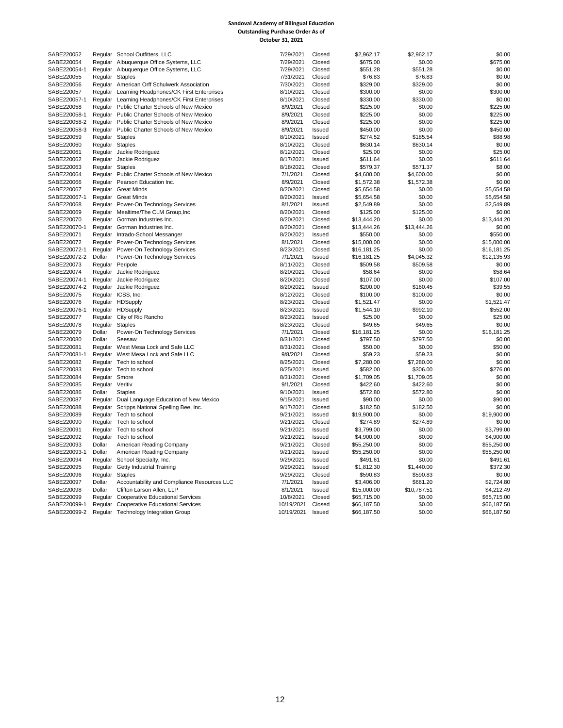#### **Sandoval Academy of Bilingual Education Outstanding Purchase Order As of October 31, 2021**

| SABE220052   |                  | Regular School Outfitters, LLC                   | 7/29/2021  | Closed        | \$2,962.17  | \$2,962.17          | \$0.00           |
|--------------|------------------|--------------------------------------------------|------------|---------------|-------------|---------------------|------------------|
| SABE220054   |                  | Regular Albuquerque Office Systems, LLC          | 7/29/2021  | Closed        | \$675.00    | \$0.00              | \$675.00         |
|              |                  |                                                  |            |               |             |                     |                  |
| SABE220054-1 |                  | Regular Albuquerque Office Systems, LLC          | 7/29/2021  | Closed        | \$551.28    | \$551.28<br>\$76.83 | \$0.00<br>\$0.00 |
| SABE220055   | Regular Staples  |                                                  | 7/31/2021  | Closed        | \$76.83     |                     |                  |
| SABE220056   |                  | Regular American Orff Schulwerk Association      | 7/30/2021  | Closed        | \$329.00    | \$329.00            | \$0.00           |
| SABE220057   |                  | Regular Learning Headphones/CK First Enterprises | 8/10/2021  | Closed        | \$300.00    | \$0.00              | \$300.00         |
| SABE220057-1 |                  | Regular Learning Headphones/CK First Enterprises | 8/10/2021  | Closed        | \$330.00    | \$330.00            | \$0.00           |
| SABE220058   |                  | Regular Public Charter Schools of New Mexico     | 8/9/2021   | Closed        | \$225.00    | \$0.00              | \$225.00         |
| SABE220058-1 |                  | Regular Public Charter Schools of New Mexico     | 8/9/2021   | Closed        | \$225.00    | \$0.00              | \$225.00         |
| SABE220058-2 |                  | Regular Public Charter Schools of New Mexico     | 8/9/2021   | Closed        | \$225.00    | \$0.00              | \$225.00         |
| SABE220058-3 |                  | Regular Public Charter Schools of New Mexico     | 8/9/2021   | Issued        | \$450.00    | \$0.00              | \$450.00         |
| SABE220059   | Regular Staples  |                                                  | 8/10/2021  | Issued        | \$274.52    | \$185.54            | \$88.98          |
| SABE220060   | Regular Staples  |                                                  | 8/10/2021  | Closed        | \$630.14    | \$630.14            | \$0.00           |
| SABE220061   |                  | Regular Jackie Rodriguez                         | 8/12/2021  | Closed        | \$25.00     | \$0.00              | \$25.00          |
| SABE220062   |                  | Regular Jackie Rodriguez                         | 8/17/2021  | Issued        | \$611.64    | \$0.00              | \$611.64         |
| SABE220063   | Regular Staples  |                                                  | 8/18/2021  | Closed        | \$579.37    | \$571.37            | \$8.00           |
| SABE220064   |                  | Regular Public Charter Schools of New Mexico     | 7/1/2021   | Closed        | \$4,600.00  | \$4,600.00          | \$0.00           |
| SABE220066   |                  | Regular Pearson Education Inc.                   | 8/9/2021   | Closed        | \$1,572.38  | \$1,572.38          | \$0.00           |
| SABE220067   |                  | Regular Great Minds                              | 8/20/2021  | Closed        | \$5,654.58  | \$0.00              | \$5,654.58       |
| SABE220067-1 |                  | Regular Great Minds                              | 8/20/2021  | <b>Issued</b> | \$5,654.58  | \$0.00              | \$5,654.58       |
| SABE220068   |                  | Regular Power-On Technology Services             | 8/1/2021   | Issued        | \$2,549.89  | \$0.00              | \$2,549.89       |
|              |                  |                                                  |            |               |             |                     |                  |
| SABE220069   |                  | Regular Mealtime/The CLM Group, Inc              | 8/20/2021  | Closed        | \$125.00    | \$125.00            | \$0.00           |
| SABE220070   |                  | Regular Gorman Industries Inc.                   | 8/20/2021  | Closed        | \$13,444.20 | \$0.00              | \$13,444.20      |
| SABE220070-1 |                  | Regular Gorman Industries Inc.                   | 8/20/2021  | Closed        | \$13,444.26 | \$13,444.26         | \$0.00           |
| SABE220071   |                  | Regular Intrado-School Messanger                 | 8/20/2021  | Issued        | \$550.00    | \$0.00              | \$550.00         |
| SABE220072   |                  | Regular Power-On Technology Services             | 8/1/2021   | Closed        | \$15,000.00 | \$0.00              | \$15,000.00      |
| SABE220072-1 |                  | Regular Power-On Technology Services             | 8/23/2021  | Closed        | \$16,181.25 | \$0.00              | \$16,181.25      |
| SABE220072-2 | Dollar           | Power-On Technology Services                     | 7/1/2021   | Issued        | \$16,181.25 | \$4,045.32          | \$12,135.93      |
| SABE220073   | Regular Peripole |                                                  | 8/11/2021  | Closed        | \$509.58    | \$509.58            | \$0.00           |
| SABE220074   |                  | Regular Jackie Rodriguez                         | 8/20/2021  | Closed        | \$58.64     | \$0.00              | \$58.64          |
| SABE220074-1 |                  | Regular Jackie Rodriguez                         | 8/20/2021  | Closed        | \$107.00    | \$0.00              | \$107.00         |
| SABE220074-2 |                  | Regular Jackie Rodriguez                         | 8/20/2021  | Issued        | \$200.00    | \$160.45            | \$39.55          |
| SABE220075   |                  | Regular ICSS, Inc.                               | 8/12/2021  | Closed        | \$100.00    | \$100.00            | \$0.00           |
| SABE220076   |                  | Regular HDSupply                                 | 8/23/2021  | Closed        | \$1,521.47  | \$0.00              | \$1,521.47       |
| SABE220076-1 |                  | Regular HDSupply                                 | 8/23/2021  | <b>Issued</b> | \$1,544.10  | \$992.10            | \$552.00         |
| SABE220077   |                  | Regular City of Rio Rancho                       | 8/23/2021  | Issued        | \$25.00     | \$0.00              | \$25.00          |
| SABE220078   | Regular Staples  |                                                  | 8/23/2021  | Closed        | \$49.65     | \$49.65             | \$0.00           |
| SABE220079   | Dollar           | Power-On Technology Services                     | 7/1/2021   | Closed        | \$16,181.25 | \$0.00              | \$16,181.25      |
| SABE220080   | Dollar           | Seesaw                                           | 8/31/2021  | Closed        | \$797.50    | \$797.50            | \$0.00           |
| SABE220081   |                  |                                                  | 8/31/2021  | Closed        | \$50.00     | \$0.00              | \$50.00          |
|              |                  | Regular West Mesa Lock and Safe LLC              |            |               |             |                     |                  |
| SABE220081-1 |                  | Regular West Mesa Lock and Safe LLC              | 9/8/2021   | Closed        | \$59.23     | \$59.23             | \$0.00           |
| SABE220082   |                  | Regular Tech to school                           | 8/25/2021  | Closed        | \$7,280.00  | \$7,280.00          | \$0.00           |
| SABE220083   |                  | Regular Tech to school                           | 8/25/2021  | Issued        | \$582.00    | \$306.00            | \$276.00         |
| SABE220084   | Regular Smore    |                                                  | 8/31/2021  | Closed        | \$1,709.05  | \$1,709.05          | \$0.00           |
| SABE220085   | Regular Veritiv  |                                                  | 9/1/2021   | Closed        | \$422.60    | \$422.60            | \$0.00           |
| SABE220086   | Dollar           | Staples                                          | 9/10/2021  | <b>Issued</b> | \$572.80    | \$572.80            | \$0.00           |
| SABE220087   |                  | Regular Dual Language Education of New Mexico    | 9/15/2021  | Issued        | \$90.00     | \$0.00              | \$90.00          |
| SABE220088   |                  | Regular Scripps National Spelling Bee, Inc.      | 9/17/2021  | Closed        | \$182.50    | \$182.50            | \$0.00           |
| SABE220089   |                  | Regular Tech to school                           | 9/21/2021  | Issued        | \$19,900.00 | \$0.00              | \$19,900.00      |
| SABE220090   |                  | Regular Tech to school                           | 9/21/2021  | Closed        | \$274.89    | \$274.89            | \$0.00           |
| SABE220091   |                  | Regular Tech to school                           | 9/21/2021  | Issued        | \$3,799.00  | \$0.00              | \$3,799.00       |
| SABE220092   |                  | Regular Tech to school                           | 9/21/2021  | <b>Issued</b> | \$4,900.00  | \$0.00              | \$4,900.00       |
| SABE220093   | Dollar           | American Reading Company                         | 9/21/2021  | Closed        | \$55,250.00 | \$0.00              | \$55,250.00      |
| SABE220093-1 | Dollar           | American Reading Company                         | 9/21/2021  | Issued        | \$55,250.00 | \$0.00              | \$55,250.00      |
| SABE220094   |                  | Regular School Specialty, Inc.                   | 9/29/2021  | Issued        | \$491.61    | \$0.00              | \$491.61         |
| SABE220095   |                  | Regular Getty Industrial Training                | 9/29/2021  | Issued        | \$1,812.30  | \$1,440.00          | \$372.30         |
| SABE220096   | Regular Staples  |                                                  | 9/29/2021  | Closed        | \$590.83    | \$590.83            | \$0.00           |
| SABE220097   | Dollar           | Accountability and Compliance Resources LLC      | 7/1/2021   | Issued        | \$3,406.00  | \$681.20            | \$2,724.80       |
| SABE220098   | Dollar           | Clifton Larson Allen, LLP                        | 8/1/2021   | Issued        | \$15,000.00 | \$10,787.51         | \$4,212.49       |
|              |                  |                                                  |            | Closed        |             |                     |                  |
| SABE220099   |                  | Regular Cooperative Educational Services         | 10/8/2021  |               | \$65,715.00 | \$0.00              | \$65,715.00      |
| SABE220099-1 |                  | Regular Cooperative Educational Services         | 10/19/2021 | Closed        | \$66,187.50 | \$0.00              | \$66,187.50      |
| SABE220099-2 |                  | Regular Technology Integration Group             | 10/19/2021 | Issued        | \$66,187.50 | \$0.00              | \$66,187.50      |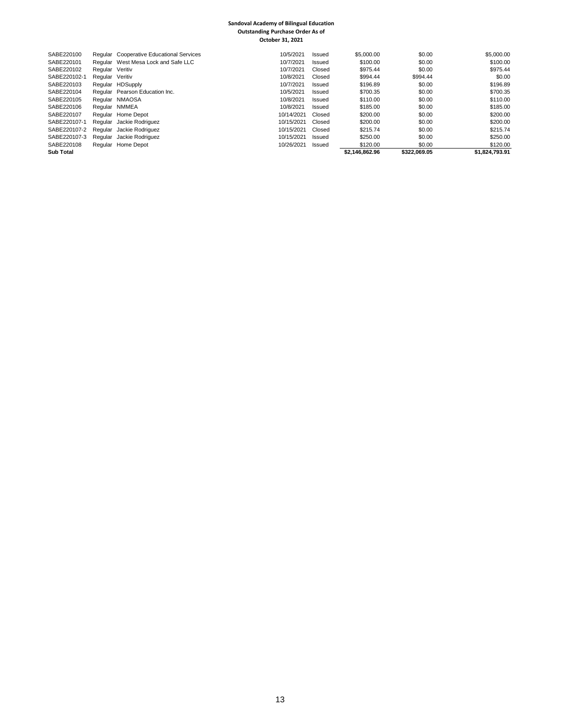#### **Sandoval Academy of Bilingual Education Outstanding Purchase Order As of October 31, 2021**

| SABE220100       |                 | Regular Cooperative Educational Services | 10/5/2021  | Issued | \$5,000,00     | \$0.00       | \$5,000.00     |
|------------------|-----------------|------------------------------------------|------------|--------|----------------|--------------|----------------|
| SABE220101       |                 | Regular West Mesa Lock and Safe LLC      | 10/7/2021  | Issued | \$100.00       | \$0.00       | \$100.00       |
| SABE220102       | Regular Veritiv |                                          | 10/7/2021  | Closed | \$975.44       | \$0.00       | \$975.44       |
| SABE220102-1     | Regular Veritiv |                                          | 10/8/2021  | Closed | \$994.44       | \$994.44     | \$0.00         |
| SABE220103       |                 | Regular HDSupply                         | 10/7/2021  | Issued | \$196.89       | \$0.00       | \$196.89       |
| SABE220104       |                 | Regular Pearson Education Inc.           | 10/5/2021  | Issued | \$700.35       | \$0.00       | \$700.35       |
| SABE220105       |                 | Regular NMAOSA                           | 10/8/2021  | Issued | \$110.00       | \$0.00       | \$110.00       |
| SABE220106       |                 | Regular NMMEA                            | 10/8/2021  | Issued | \$185.00       | \$0.00       | \$185.00       |
| SABE220107       |                 | Regular Home Depot                       | 10/14/2021 | Closed | \$200.00       | \$0.00       | \$200.00       |
| SABE220107-1     |                 | Regular Jackie Rodriguez                 | 10/15/2021 | Closed | \$200.00       | \$0.00       | \$200.00       |
| SABE220107-2     |                 | Regular Jackie Rodriguez                 | 10/15/2021 | Closed | \$215.74       | \$0.00       | \$215.74       |
| SABE220107-3     |                 | Regular Jackie Rodriguez                 | 10/15/2021 | Issued | \$250.00       | \$0.00       | \$250.00       |
| SABE220108       |                 | Regular Home Depot                       | 10/26/2021 | Issued | \$120.00       | \$0.00       | \$120.00       |
| <b>Sub Total</b> |                 |                                          |            |        | \$2.146.862.96 | \$322.069.05 | \$1.824.793.91 |
|                  |                 |                                          |            |        |                |              |                |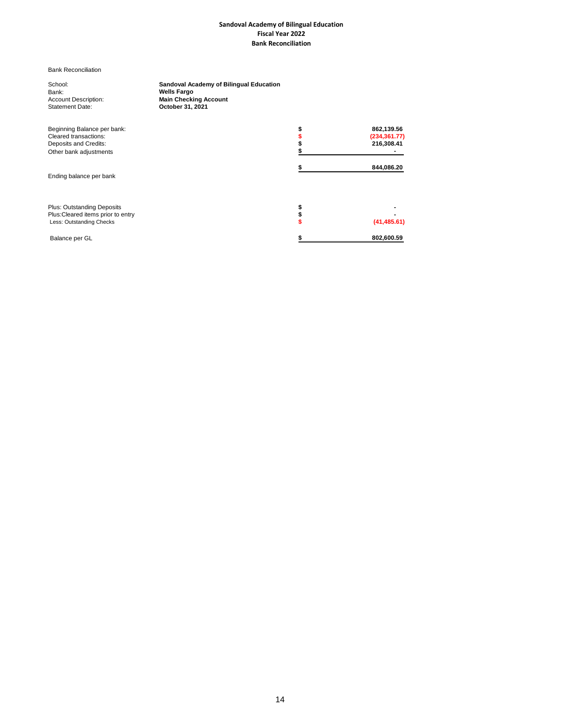#### **Sandoval Academy of Bilingual Education Fiscal Year 2022 Bank Reconciliation**

Bank Reconciliation

Bank: **Wells Fargo** Statement Date: **October 31, 2021**

School: **Sandoval Academy of Bilingual Education** Account Description: **Main Checking Account**

| Beginning Balance per bank:<br>Cleared transactions:<br>Deposits and Credits:<br>Other bank adjustments | 862,139.56<br>(234, 361.77)<br>216,308.41 |
|---------------------------------------------------------------------------------------------------------|-------------------------------------------|
| Ending balance per bank                                                                                 | 844,086.20                                |
| <b>Plus: Outstanding Deposits</b><br>Plus: Cleared items prior to entry<br>Less: Outstanding Checks     | (41, 485.61)                              |
| Balance per GL                                                                                          | 802,600.59                                |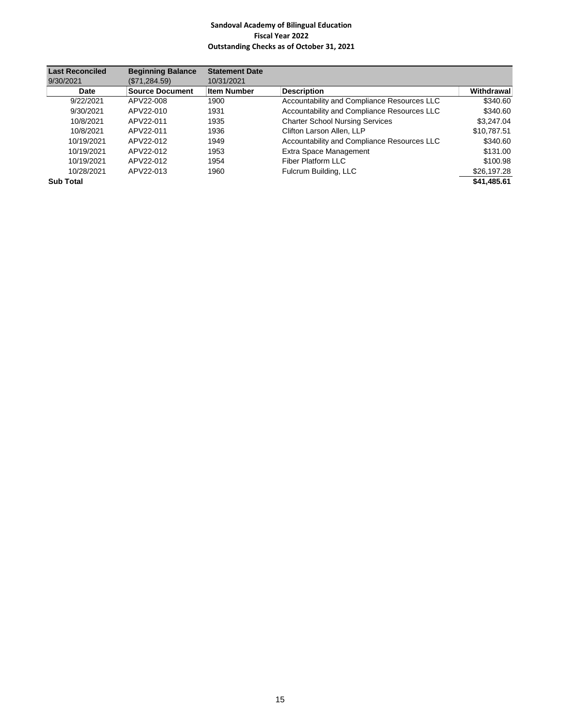## **Sandoval Academy of Bilingual Education Fiscal Year 2022 Outstanding Checks as of October 31, 2021**

| <b>Last Reconciled</b> | <b>Beginning Balance</b> | <b>Statement Date</b> |                                             |             |
|------------------------|--------------------------|-----------------------|---------------------------------------------|-------------|
| 9/30/2021              | (\$71,284.59)            | 10/31/2021            |                                             |             |
| <b>Date</b>            | <b>Source Document</b>   | <b>Item Number</b>    | <b>Description</b>                          | Withdrawal  |
| 9/22/2021              | APV22-008                | 1900                  | Accountability and Compliance Resources LLC | \$340.60    |
| 9/30/2021              | APV22-010                | 1931                  | Accountability and Compliance Resources LLC | \$340.60    |
| 10/8/2021              | APV22-011                | 1935                  | <b>Charter School Nursing Services</b>      | \$3,247.04  |
| 10/8/2021              | APV22-011                | 1936                  | Clifton Larson Allen, LLP                   | \$10.787.51 |
| 10/19/2021             | APV22-012                | 1949                  | Accountability and Compliance Resources LLC | \$340.60    |
| 10/19/2021             | APV22-012                | 1953                  | Extra Space Management                      | \$131.00    |
| 10/19/2021             | APV22-012                | 1954                  | Fiber Platform LLC                          | \$100.98    |
| 10/28/2021             | APV22-013                | 1960                  | Fulcrum Building, LLC                       | \$26,197.28 |
| <b>Sub Total</b>       |                          |                       |                                             | \$41.485.61 |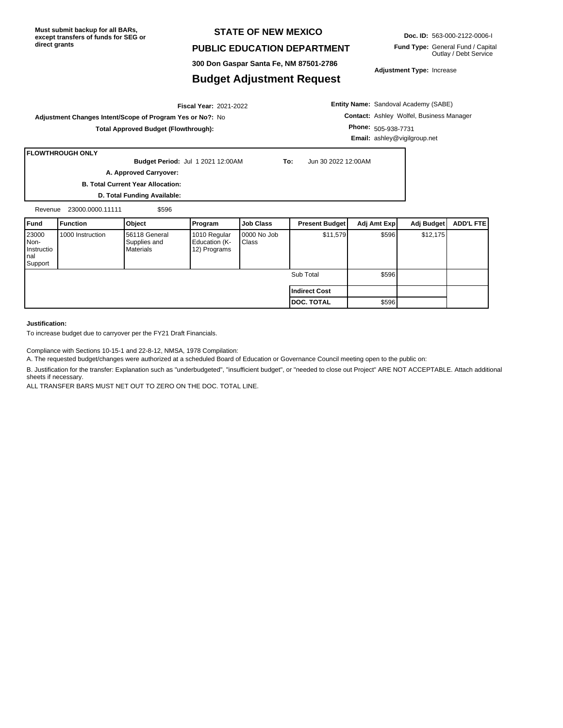## **STATE OF NEW MEXICO**

## **PUBLIC EDUCATION DEPARTMENT**

**300 Don Gaspar Santa Fe, NM 87501-2786**

## **Budget Adjustment Request**

**Doc. ID:** 563-000-2122-0006-I

**Fund Type:** General Fund / Capital Outlay / Debt Service

**Adjustment Type:** Increase

**Entity Name:** Sandoval Academy (SABE) **Contact:** Ashley Wolfel, Business Manager **Phone:** 505-938-7731 **Email:** ashley@vigilgroup.net

**Adjustment Changes Intent/Scope of Program Yes or No?:** No **Total Approved Budget (Flowthrough):**

## **FLOWTHROUGH ONLY**

**Budget Period:** Jul 1 2021 12:00AM **To:** Jun 30 2022 12:00AM **A. Approved Carryover:** 

2021-2022 **Fiscal Year:**

**B. Total Current Year Allocation:**

**D. Total Funding Available:**

| Revenue | 23000.0000.11111 | \$596 |
|---------|------------------|-------|
|         |                  |       |

| l Fund                                            | Function         | Object                                            | <b>Program</b>                                | <b>Job Class</b>               | <b>Present Budget</b> | Adj Amt Exp | Adj Budget | ADD'L FTE |
|---------------------------------------------------|------------------|---------------------------------------------------|-----------------------------------------------|--------------------------------|-----------------------|-------------|------------|-----------|
| 23000<br>I Non-<br>Instructio<br>l nal<br>Support | 1000 Instruction | 56118 General<br>Supplies and<br><b>Materials</b> | 1010 Regular<br>Education (K-<br>12) Programs | 10000 No Job<br><b>I</b> Class | \$11,579              | \$596       | \$12,175   |           |
|                                                   |                  |                                                   |                                               |                                | Sub Total             | \$596       |            |           |
|                                                   |                  |                                                   |                                               |                                | Indirect Cost         |             |            |           |
|                                                   |                  |                                                   |                                               |                                | <b>DOC. TOTAL</b>     | \$596       |            |           |

### **Justification:**

To increase budget due to carryover per the FY21 Draft Financials.

Compliance with Sections 10-15-1 and 22-8-12, NMSA, 1978 Compilation:

A. The requested budget/changes were authorized at a scheduled Board of Education or Governance Council meeting open to the public on:

B. Justification for the transfer: Explanation such as "underbudgeted", "insufficient budget", or "needed to close out Project" ARE NOT ACCEPTABLE. Attach additional sheets if necessary.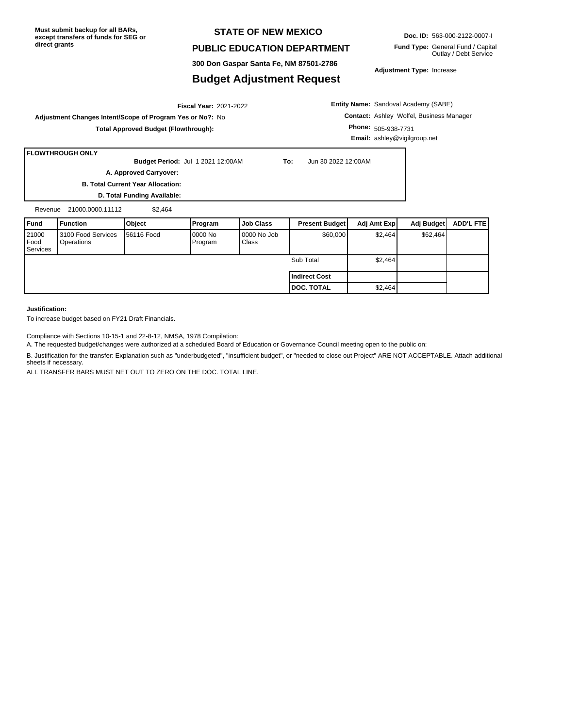## **STATE OF NEW MEXICO**

## **PUBLIC EDUCATION DEPARTMENT**

**300 Don Gaspar Santa Fe, NM 87501-2786**

## **Budget Adjustment Request**

**Doc. ID:** 563-000-2122-0007-I

**Fund Type:** General Fund / Capital Outlay / Debt Service

**Adjustment Type:** Increase

## 2021-2022 **Fiscal Year: Adjustment Changes Intent/Scope of Program Yes or No?:** No **Total Approved Budget (Flowthrough):**

**Entity Name:** Sandoval Academy (SABE) **Contact:** Ashley Wolfel, Business Manager **Phone:** 505-938-7731 **Email:** ashley@vigilgroup.net

### **FLOWTHROUGH ONLY**

**B. Total Current Year Allocation: Budget Period:** Jul 1 2021 12:00AM **To:** Jun 30 2022 12:00AM **A. Approved Carryover:** 

**D. Total Funding Available:**

Revenue 21000.0000.11112 \$2,464

| Fund                      | <b>Function</b>                  | Object             | Program             | <b>Job Class</b>      | <b>Present Budget</b> | Adj Amt Expl | Adj Budget I | <b>ADD'L FTEI</b> |
|---------------------------|----------------------------------|--------------------|---------------------|-----------------------|-----------------------|--------------|--------------|-------------------|
| 21000<br>Food<br>Services | 3100 Food Services<br>Operations | <b>156116 Food</b> | 10000 No<br>Program | 10000 No Job<br>Class | \$60,000              | \$2,464      | \$62,464     |                   |
|                           |                                  |                    |                     |                       | Sub Total             | \$2,464      |              |                   |
|                           |                                  |                    |                     |                       | l Indirect Cost       |              |              |                   |
|                           |                                  |                    |                     |                       | <b>I DOC. TOTAL</b>   | \$2,464      |              |                   |

#### **Justification:**

To increase budget based on FY21 Draft Financials.

Compliance with Sections 10-15-1 and 22-8-12, NMSA, 1978 Compilation:

A. The requested budget/changes were authorized at a scheduled Board of Education or Governance Council meeting open to the public on:

B. Justification for the transfer: Explanation such as "underbudgeted", "insufficient budget", or "needed to close out Project" ARE NOT ACCEPTABLE. Attach additional sheets if necessary.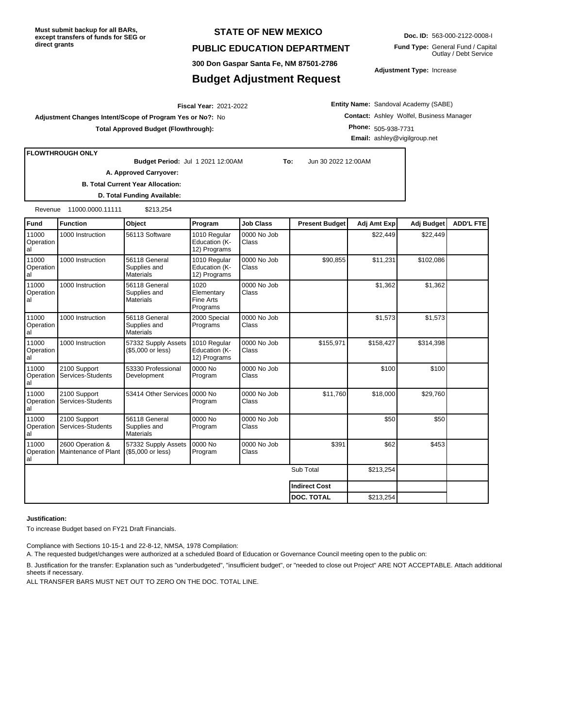## **STATE OF NEW MEXICO**

## **PUBLIC EDUCATION DEPARTMENT**

**300 Don Gaspar Santa Fe, NM 87501-2786**

## **Budget Adjustment Request**

**Doc. ID:** 563-000-2122-0008-I

**Fund Type:** General Fund / Capital Outlay / Debt Service

**Adjustment Type:** Increase

2021-2022 **Fiscal Year:**

**Adjustment Changes Intent/Scope of Program Yes or No?:** No **Total Approved Budget (Flowthrough):**

**Entity Name:** Sandoval Academy (SABE) **Contact:** Ashley Wolfel, Business Manager **Phone:** 505-938-7731 **Email:** ashley@vigilgroup.net

**FLOWTHROUGH ONLY**

**Budget Period:** Jul 1 2021 12:00AM **To:** Jun 30 2022 12:00AM

**A. Approved Carryover:** 

**B. Total Current Year Allocation: D. Total Funding Available:**

Revenue 11000.0000.11111 \$213,254

| <b>Fund</b>              | <b>Function</b>                          | Object                                            | Program                                       | <b>Job Class</b>            | <b>Present Budget</b> | Adj Amt Exp | Adj Budget | <b>ADD'L FTE</b> |
|--------------------------|------------------------------------------|---------------------------------------------------|-----------------------------------------------|-----------------------------|-----------------------|-------------|------------|------------------|
| 11000<br>Operation<br>al | 1000 Instruction                         | 56113 Software                                    | 1010 Regular<br>Education (K-<br>12) Programs | 0000 No Job<br><b>Class</b> |                       | \$22,449    | \$22,449   |                  |
| 11000<br>Operation<br>al | 1000 Instruction                         | 56118 General<br>Supplies and<br>Materials        | 1010 Regular<br>Education (K-<br>12) Programs | 0000 No Job<br>Class        | \$90,855              | \$11,231    | \$102,086  |                  |
| 11000<br>Operation<br>al | 1000 Instruction                         | 56118 General<br>Supplies and<br><b>Materials</b> | 1020<br>Elementary<br>Fine Arts<br>Programs   | 0000 No Job<br><b>Class</b> |                       | \$1,362     | \$1,362    |                  |
| 11000<br>Operation<br>al | 1000 Instruction                         | 56118 General<br>Supplies and<br><b>Materials</b> | 2000 Special<br>Programs                      | 0000 No Job<br><b>Class</b> |                       | \$1,573     | \$1,573    |                  |
| 11000<br>Operation<br>al | 1000 Instruction                         | 57332 Supply Assets<br>(\$5,000 or less)          | 1010 Regular<br>Education (K-<br>12) Programs | 0000 No Job<br>Class        | \$155,971             | \$158,427   | \$314,398  |                  |
| 11000<br>Operation<br>al | 2100 Support<br>Services-Students        | 53330 Professional<br>Development                 | 0000 No<br>Program                            | 0000 No Job<br><b>Class</b> |                       | \$100       | \$100      |                  |
| 11000<br>Operation<br>al | 2100 Support<br>Services-Students        | 53414 Other Services                              | 0000 No<br>Program                            | 0000 No Job<br>Class        | \$11,760              | \$18,000    | \$29,760   |                  |
| 11000<br>Operation<br>al | 2100 Support<br>Services-Students        | 56118 General<br>Supplies and<br><b>Materials</b> | 0000 No<br>Program                            | 0000 No Job<br>Class        |                       | \$50        | \$50       |                  |
| 11000<br>Operation<br>al | 2600 Operation &<br>Maintenance of Plant | 57332 Supply Assets<br>(\$5,000 or less)          | 0000 No<br>Program                            | 0000 No Job<br>Class        | \$391                 | \$62        | \$453      |                  |
|                          |                                          |                                                   |                                               |                             | Sub Total             | \$213,254   |            |                  |
|                          |                                          |                                                   |                                               |                             | <b>Indirect Cost</b>  |             |            |                  |
|                          |                                          |                                                   |                                               |                             | <b>DOC. TOTAL</b>     | \$213,254   |            |                  |

#### **Justification:**

To increase Budget based on FY21 Draft Financials.

Compliance with Sections 10-15-1 and 22-8-12, NMSA, 1978 Compilation:

A. The requested budget/changes were authorized at a scheduled Board of Education or Governance Council meeting open to the public on:

B. Justification for the transfer: Explanation such as "underbudgeted", "insufficient budget", or "needed to close out Project" ARE NOT ACCEPTABLE. Attach additional sheets if necessary.